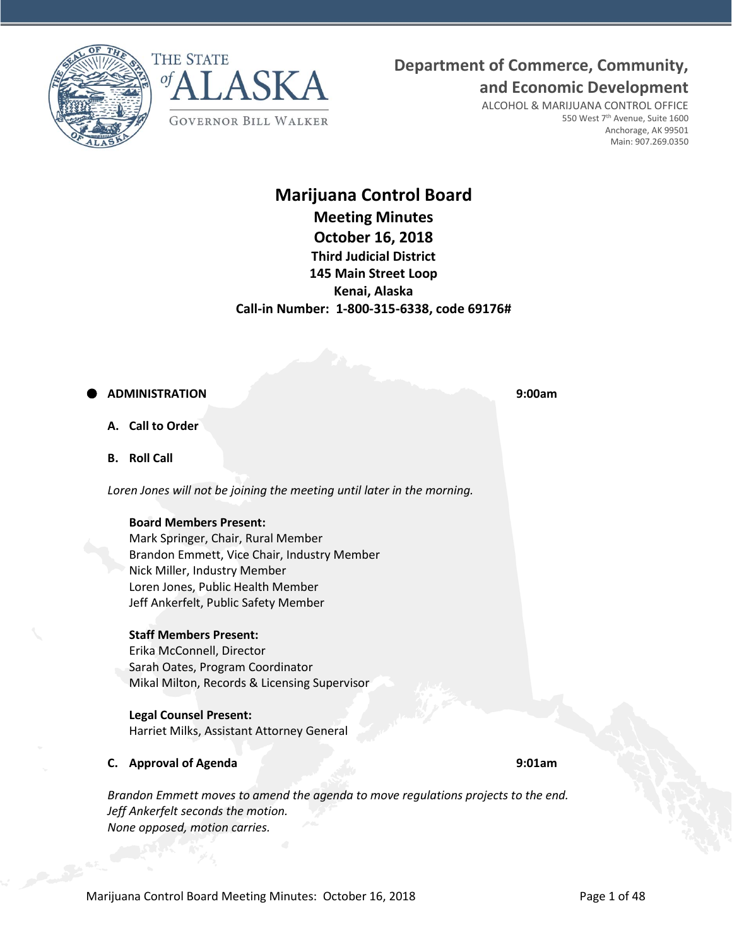



# **Department of Commerce, Community,**

**and Economic Development**

ALCOHOL & MARIJUANA CONTROL OFFICE 550 West 7<sup>th</sup> Avenue, Suite 1600 Anchorage, AK 99501 Main: 907.269.0350

# **Marijuana Control Board Meeting Minutes October 16, 2018 Third Judicial District 145 Main Street Loop Kenai, Alaska Call-in Number: 1-800-315-6338, code 69176#**

## **ADMINISTRATION 9:00am**

**A. Call to Order**

**B. Roll Call**

*Loren Jones will not be joining the meeting until later in the morning.*

#### **Board Members Present:**

Mark Springer, Chair, Rural Member Brandon Emmett, Vice Chair, Industry Member Nick Miller, Industry Member Loren Jones, Public Health Member Jeff Ankerfelt, Public Safety Member

#### **Staff Members Present:**

Erika McConnell, Director Sarah Oates, Program Coordinator Mikal Milton, Records & Licensing Supervisor

#### **Legal Counsel Present:**

Harriet Milks, Assistant Attorney General

#### **C. Approval of Agenda 9:01am**

*Brandon Emmett moves to amend the agenda to move regulations projects to the end. Jeff Ankerfelt seconds the motion. None opposed, motion carries.*

Marijuana Control Board Meeting Minutes: October 16, 2018 **Page 1 of 48** Page 1 of 48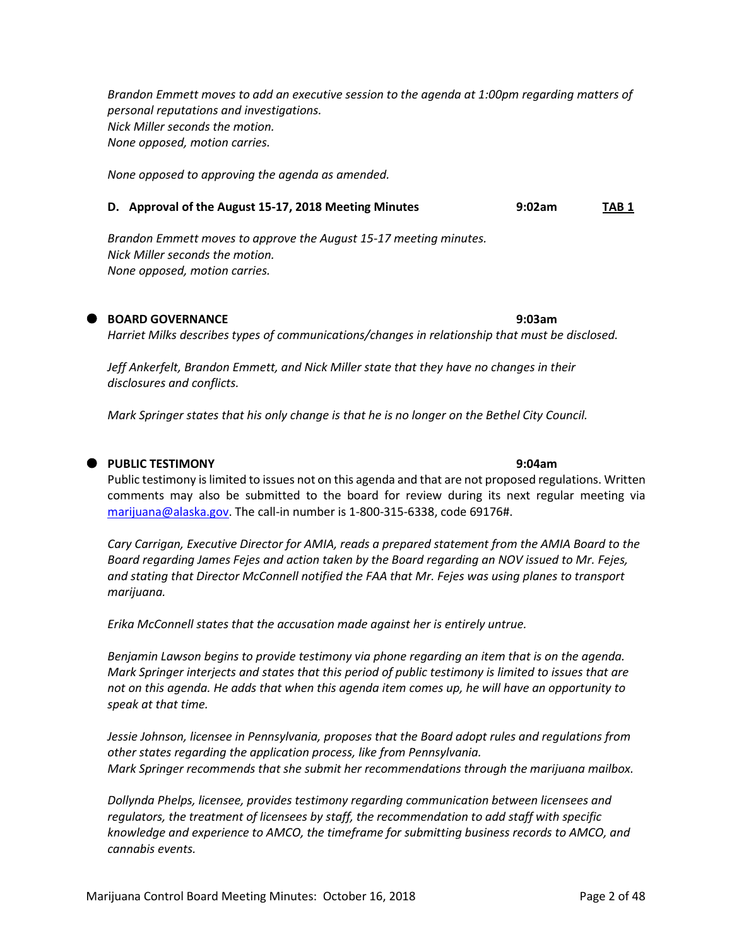*Brandon Emmett moves to add an executive session to the agenda at 1:00pm regarding matters of personal reputations and investigations. Nick Miller seconds the motion. None opposed, motion carries.*

*None opposed to approving the agenda as amended.*

#### **D. Approval of the August 15-17, 2018 Meeting Minutes 9:02am TAB 1**

*Brandon Emmett moves to approve the August 15-17 meeting minutes. Nick Miller seconds the motion. None opposed, motion carries.*

**BOARD GOVERNANCE 9:03am**

*Harriet Milks describes types of communications/changes in relationship that must be disclosed.*

*Jeff Ankerfelt, Brandon Emmett, and Nick Miller state that they have no changes in their disclosures and conflicts.*

*Mark Springer states that his only change is that he is no longer on the Bethel City Council.*

#### **PUBLIC TESTIMONY 9:04am**

Public testimony is limited to issues not on this agenda and that are not proposed regulations. Written comments may also be submitted to the board for review during its next regular meeting via [marijuana@alaska.gov.](mailto:marijuana@alaska.gov) The call-in number is 1-800-315-6338, code 69176#.

*Cary Carrigan, Executive Director for AMIA, reads a prepared statement from the AMIA Board to the Board regarding James Fejes and action taken by the Board regarding an NOV issued to Mr. Fejes, and stating that Director McConnell notified the FAA that Mr. Fejes was using planes to transport marijuana.*

*Erika McConnell states that the accusation made against her is entirely untrue.*

*Benjamin Lawson begins to provide testimony via phone regarding an item that is on the agenda. Mark Springer interjects and states that this period of public testimony is limited to issues that are not on this agenda. He adds that when this agenda item comes up, he will have an opportunity to speak at that time.*

*Jessie Johnson, licensee in Pennsylvania, proposes that the Board adopt rules and regulations from other states regarding the application process, like from Pennsylvania. Mark Springer recommends that she submit her recommendations through the marijuana mailbox.*

*Dollynda Phelps, licensee, provides testimony regarding communication between licensees and regulators, the treatment of licensees by staff, the recommendation to add staff with specific knowledge and experience to AMCO, the timeframe for submitting business records to AMCO, and cannabis events.*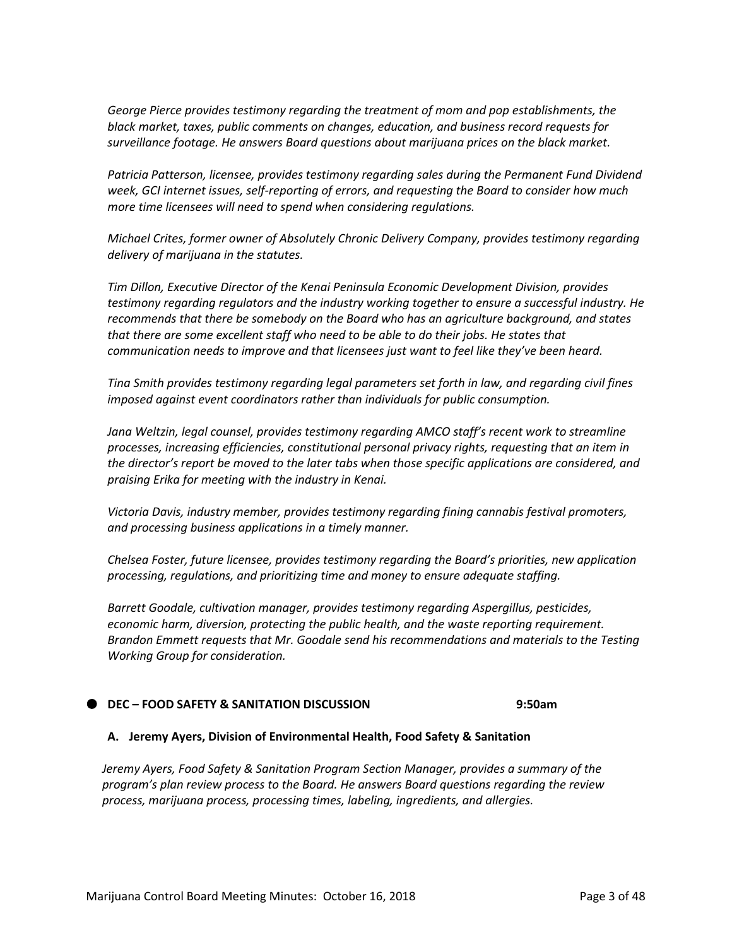*George Pierce provides testimony regarding the treatment of mom and pop establishments, the black market, taxes, public comments on changes, education, and business record requests for surveillance footage. He answers Board questions about marijuana prices on the black market.*

*Patricia Patterson, licensee, provides testimony regarding sales during the Permanent Fund Dividend week, GCI internet issues, self-reporting of errors, and requesting the Board to consider how much more time licensees will need to spend when considering regulations.*

*Michael Crites, former owner of Absolutely Chronic Delivery Company, provides testimony regarding delivery of marijuana in the statutes.*

*Tim Dillon, Executive Director of the Kenai Peninsula Economic Development Division, provides testimony regarding regulators and the industry working together to ensure a successful industry. He recommends that there be somebody on the Board who has an agriculture background, and states that there are some excellent staff who need to be able to do their jobs. He states that communication needs to improve and that licensees just want to feel like they've been heard.*

*Tina Smith provides testimony regarding legal parameters set forth in law, and regarding civil fines imposed against event coordinators rather than individuals for public consumption.*

*Jana Weltzin, legal counsel, provides testimony regarding AMCO staff's recent work to streamline processes, increasing efficiencies, constitutional personal privacy rights, requesting that an item in the director's report be moved to the later tabs when those specific applications are considered, and praising Erika for meeting with the industry in Kenai.*

*Victoria Davis, industry member, provides testimony regarding fining cannabis festival promoters, and processing business applications in a timely manner.*

*Chelsea Foster, future licensee, provides testimony regarding the Board's priorities, new application processing, regulations, and prioritizing time and money to ensure adequate staffing.*

*Barrett Goodale, cultivation manager, provides testimony regarding Aspergillus, pesticides, economic harm, diversion, protecting the public health, and the waste reporting requirement. Brandon Emmett requests that Mr. Goodale send his recommendations and materials to the Testing Working Group for consideration.*

#### **DEC – FOOD SAFETY & SANITATION DISCUSSION 9:50am**

#### **A. Jeremy Ayers, Division of Environmental Health, Food Safety & Sanitation**

*Jeremy Ayers, Food Safety & Sanitation Program Section Manager, provides a summary of the program's plan review process to the Board. He answers Board questions regarding the review process, marijuana process, processing times, labeling, ingredients, and allergies.*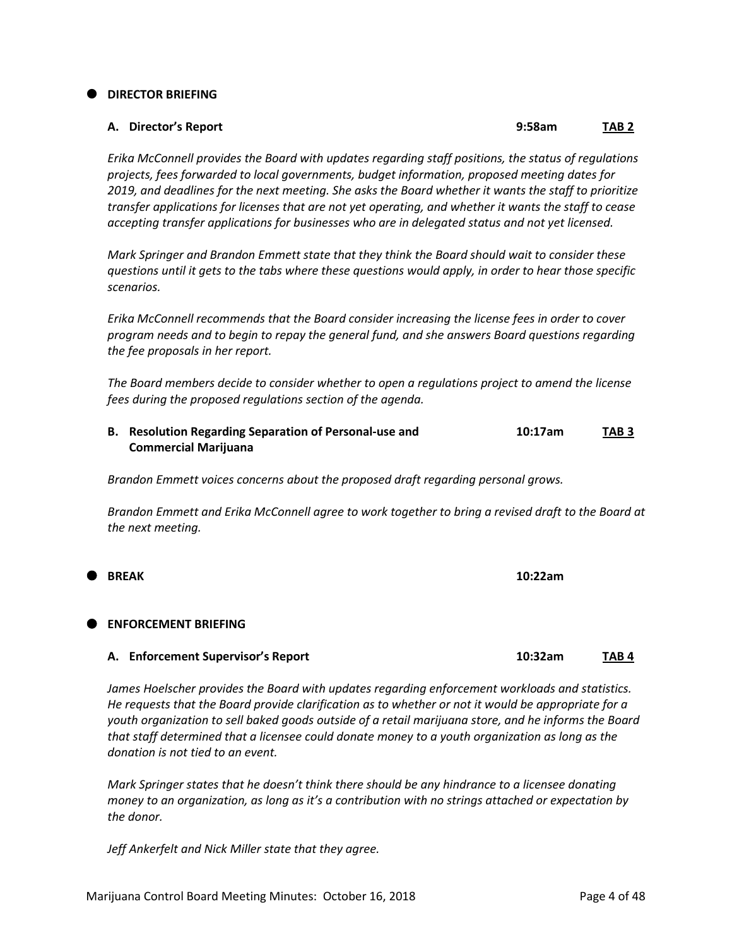#### **DIRECTOR BRIEFING**

## **A. Director's Report 9:58am TAB 2**

*Erika McConnell provides the Board with updates regarding staff positions, the status of regulations projects, fees forwarded to local governments, budget information, proposed meeting dates for 2019, and deadlines for the next meeting. She asks the Board whether it wants the staff to prioritize transfer applications for licenses that are not yet operating, and whether it wants the staff to cease accepting transfer applications for businesses who are in delegated status and not yet licensed.*

*Mark Springer and Brandon Emmett state that they think the Board should wait to consider these questions until it gets to the tabs where these questions would apply, in order to hear those specific scenarios.*

*Erika McConnell recommends that the Board consider increasing the license fees in order to cover program needs and to begin to repay the general fund, and she answers Board questions regarding the fee proposals in her report.*

*The Board members decide to consider whether to open a regulations project to amend the license fees during the proposed regulations section of the agenda.*

**B. Resolution Regarding Separation of Personal-use and 10:17am TAB 3 Commercial Marijuana**

*Brandon Emmett voices concerns about the proposed draft regarding personal grows.*

*Brandon Emmett and Erika McConnell agree to work together to bring a revised draft to the Board at the next meeting.*

**BREAK 10:22am**

#### **ENFORCEMENT BRIEFING**

#### **A. Enforcement Supervisor's Report 10:32am TAB 4**

*James Hoelscher provides the Board with updates regarding enforcement workloads and statistics. He requests that the Board provide clarification as to whether or not it would be appropriate for a youth organization to sell baked goods outside of a retail marijuana store, and he informs the Board that staff determined that a licensee could donate money to a youth organization as long as the donation is not tied to an event.*

*Mark Springer states that he doesn't think there should be any hindrance to a licensee donating money to an organization, as long as it's a contribution with no strings attached or expectation by the donor.*

*Jeff Ankerfelt and Nick Miller state that they agree.*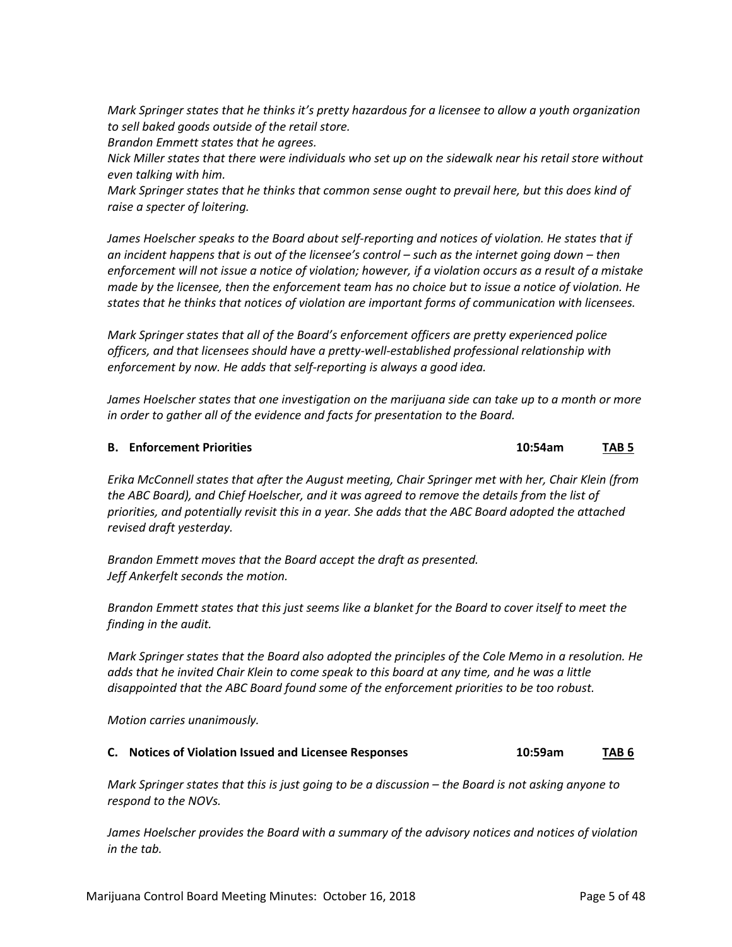*Mark Springer states that he thinks it's pretty hazardous for a licensee to allow a youth organization to sell baked goods outside of the retail store.* 

*Brandon Emmett states that he agrees.*

*Nick Miller states that there were individuals who set up on the sidewalk near his retail store without even talking with him.*

*Mark Springer states that he thinks that common sense ought to prevail here, but this does kind of raise a specter of loitering.*

*James Hoelscher speaks to the Board about self-reporting and notices of violation. He states that if an incident happens that is out of the licensee's control – such as the internet going down – then enforcement will not issue a notice of violation; however, if a violation occurs as a result of a mistake made by the licensee, then the enforcement team has no choice but to issue a notice of violation. He states that he thinks that notices of violation are important forms of communication with licensees.*

*Mark Springer states that all of the Board's enforcement officers are pretty experienced police officers, and that licensees should have a pretty-well-established professional relationship with enforcement by now. He adds that self-reporting is always a good idea.*

*James Hoelscher states that one investigation on the marijuana side can take up to a month or more in order to gather all of the evidence and facts for presentation to the Board.*

#### **B. Enforcement Priorities 10:54am TAB 5**

*Erika McConnell states that after the August meeting, Chair Springer met with her, Chair Klein (from the ABC Board), and Chief Hoelscher, and it was agreed to remove the details from the list of priorities, and potentially revisit this in a year. She adds that the ABC Board adopted the attached revised draft yesterday.*

*Brandon Emmett moves that the Board accept the draft as presented. Jeff Ankerfelt seconds the motion.*

*Brandon Emmett states that this just seems like a blanket for the Board to cover itself to meet the finding in the audit.*

*Mark Springer states that the Board also adopted the principles of the Cole Memo in a resolution. He adds that he invited Chair Klein to come speak to this board at any time, and he was a little disappointed that the ABC Board found some of the enforcement priorities to be too robust.*

*Motion carries unanimously.*

## **C. Notices of Violation Issued and Licensee Responses 10:59am TAB 6**

*Mark Springer states that this is just going to be a discussion – the Board is not asking anyone to respond to the NOVs.*

*James Hoelscher provides the Board with a summary of the advisory notices and notices of violation in the tab.*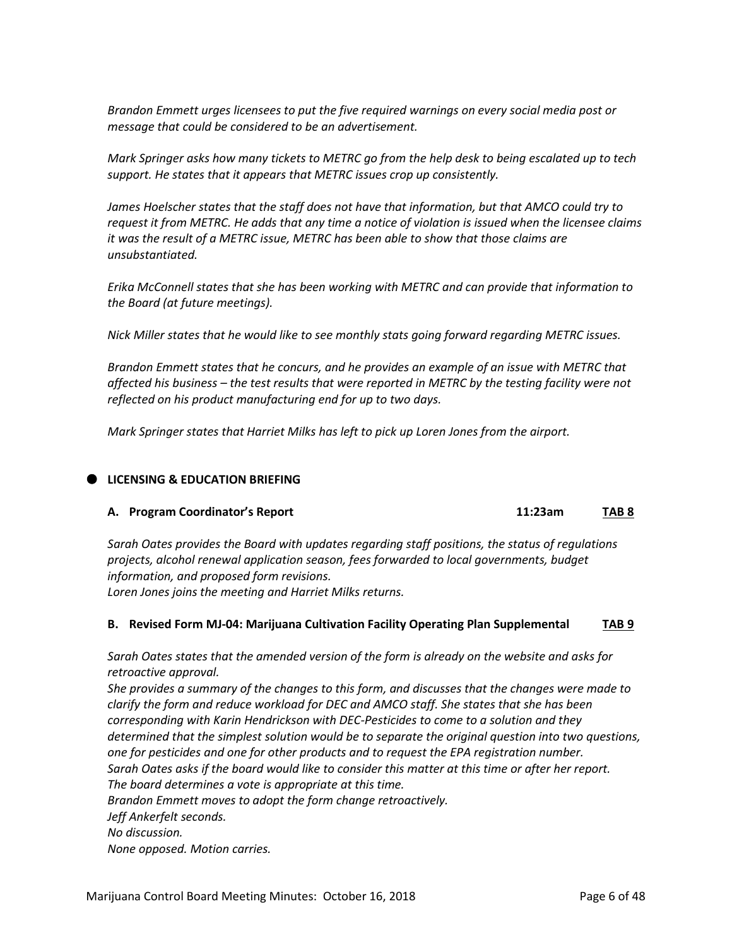*Brandon Emmett urges licensees to put the five required warnings on every social media post or message that could be considered to be an advertisement.*

*Mark Springer asks how many tickets to METRC go from the help desk to being escalated up to tech support. He states that it appears that METRC issues crop up consistently.*

*James Hoelscher states that the staff does not have that information, but that AMCO could try to request it from METRC. He adds that any time a notice of violation is issued when the licensee claims it was the result of a METRC issue, METRC has been able to show that those claims are unsubstantiated.*

*Erika McConnell states that she has been working with METRC and can provide that information to the Board (at future meetings).*

*Nick Miller states that he would like to see monthly stats going forward regarding METRC issues.*

*Brandon Emmett states that he concurs, and he provides an example of an issue with METRC that affected his business – the test results that were reported in METRC by the testing facility were not reflected on his product manufacturing end for up to two days.*

*Mark Springer states that Harriet Milks has left to pick up Loren Jones from the airport.*

#### **LICENSING & EDUCATION BRIEFING**

#### **A. Program Coordinator's Report 11:23am TAB 8**

*Sarah Oates provides the Board with updates regarding staff positions, the status of regulations projects, alcohol renewal application season, fees forwarded to local governments, budget information, and proposed form revisions. Loren Jones joins the meeting and Harriet Milks returns.*

#### **B. Revised Form MJ-04: Marijuana Cultivation Facility Operating Plan Supplemental TAB 9**

*Sarah Oates states that the amended version of the form is already on the website and asks for retroactive approval.* 

*She provides a summary of the changes to this form, and discusses that the changes were made to clarify the form and reduce workload for DEC and AMCO staff. She states that she has been corresponding with Karin Hendrickson with DEC-Pesticides to come to a solution and they determined that the simplest solution would be to separate the original question into two questions, one for pesticides and one for other products and to request the EPA registration number. Sarah Oates asks if the board would like to consider this matter at this time or after her report. The board determines a vote is appropriate at this time. Brandon Emmett moves to adopt the form change retroactively. Jeff Ankerfelt seconds.*

*No discussion.*

*None opposed. Motion carries.*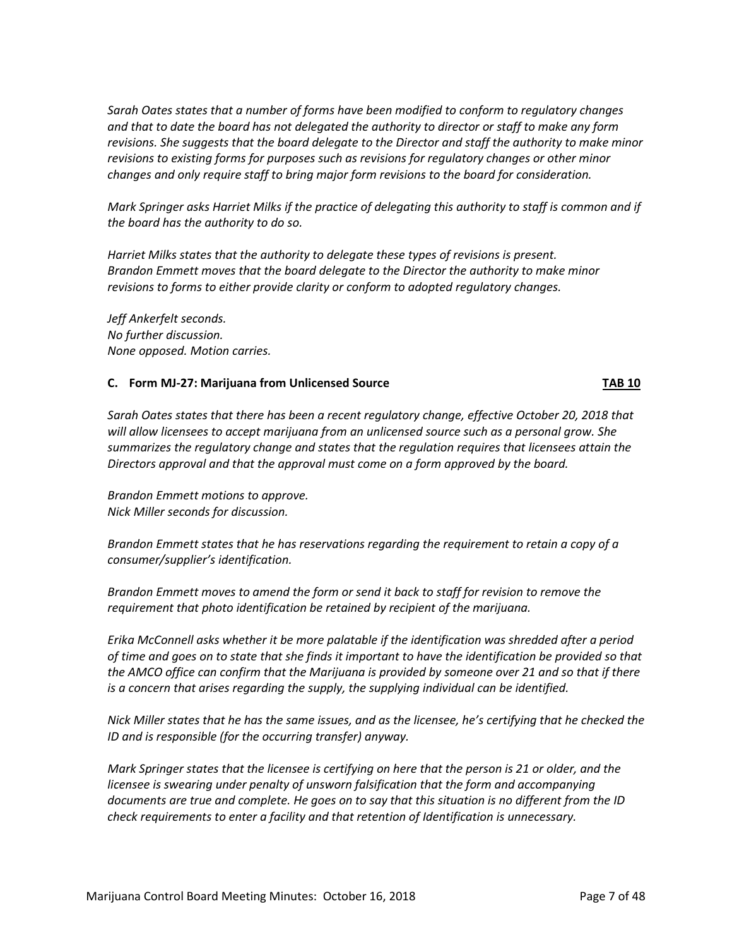*Sarah Oates states that a number of forms have been modified to conform to regulatory changes and that to date the board has not delegated the authority to director or staff to make any form revisions. She suggests that the board delegate to the Director and staff the authority to make minor revisions to existing forms for purposes such as revisions for regulatory changes or other minor changes and only require staff to bring major form revisions to the board for consideration.* 

*Mark Springer asks Harriet Milks if the practice of delegating this authority to staff is common and if the board has the authority to do so.*

*Harriet Milks states that the authority to delegate these types of revisions is present. Brandon Emmett moves that the board delegate to the Director the authority to make minor revisions to forms to either provide clarity or conform to adopted regulatory changes.* 

*Jeff Ankerfelt seconds. No further discussion. None opposed. Motion carries.*

#### **C. Form MJ-27: Marijuana from Unlicensed Source TAB 10**

*Sarah Oates states that there has been a recent regulatory change, effective October 20, 2018 that will allow licensees to accept marijuana from an unlicensed source such as a personal grow. She summarizes the regulatory change and states that the regulation requires that licensees attain the Directors approval and that the approval must come on a form approved by the board.* 

*Brandon Emmett motions to approve. Nick Miller seconds for discussion.*

*Brandon Emmett states that he has reservations regarding the requirement to retain a copy of a consumer/supplier's identification.* 

*Brandon Emmett moves to amend the form or send it back to staff for revision to remove the requirement that photo identification be retained by recipient of the marijuana.* 

*Erika McConnell asks whether it be more palatable if the identification was shredded after a period of time and goes on to state that she finds it important to have the identification be provided so that the AMCO office can confirm that the Marijuana is provided by someone over 21 and so that if there is a concern that arises regarding the supply, the supplying individual can be identified.* 

*Nick Miller states that he has the same issues, and as the licensee, he's certifying that he checked the ID and is responsible (for the occurring transfer) anyway.*

*Mark Springer states that the licensee is certifying on here that the person is 21 or older, and the licensee is swearing under penalty of unsworn falsification that the form and accompanying documents are true and complete. He goes on to say that this situation is no different from the ID check requirements to enter a facility and that retention of Identification is unnecessary.*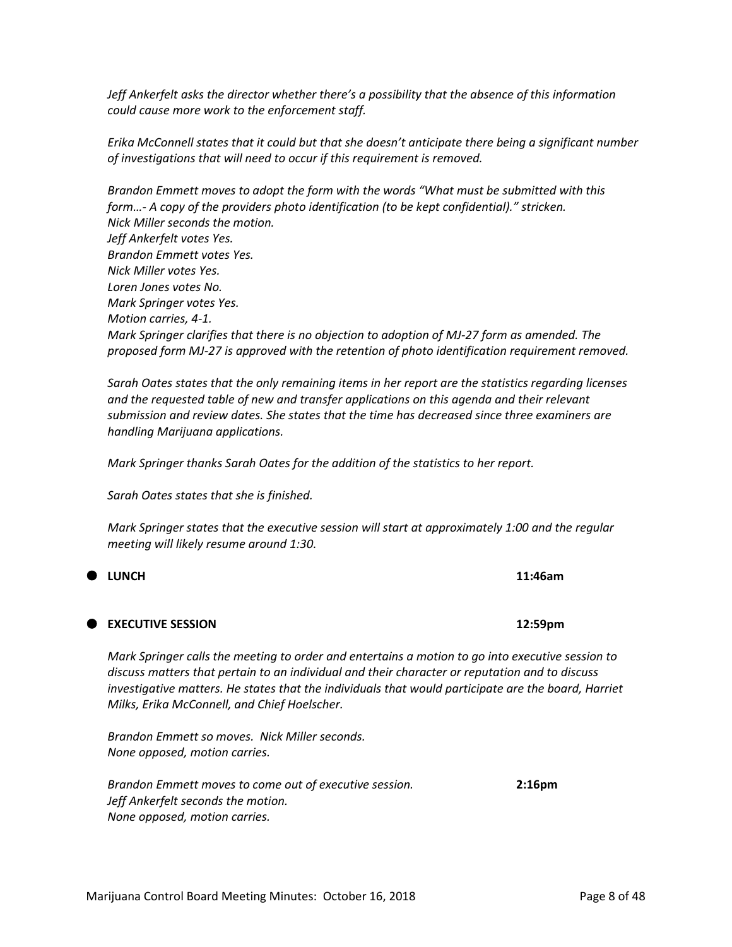*Jeff Ankerfelt asks the director whether there's a possibility that the absence of this information could cause more work to the enforcement staff.*

*Erika McConnell states that it could but that she doesn't anticipate there being a significant number of investigations that will need to occur if this requirement is removed.*

*Brandon Emmett moves to adopt the form with the words "What must be submitted with this form…- A copy of the providers photo identification (to be kept confidential)." stricken. Nick Miller seconds the motion. Jeff Ankerfelt votes Yes. Brandon Emmett votes Yes. Nick Miller votes Yes. Loren Jones votes No. Mark Springer votes Yes. Motion carries, 4-1. Mark Springer clarifies that there is no objection to adoption of MJ-27 form as amended. The proposed form MJ-27 is approved with the retention of photo identification requirement removed.* 

*Sarah Oates states that the only remaining items in her report are the statistics regarding licenses and the requested table of new and transfer applications on this agenda and their relevant submission and review dates. She states that the time has decreased since three examiners are handling Marijuana applications.* 

*Mark Springer thanks Sarah Oates for the addition of the statistics to her report.*

*Sarah Oates states that she is finished.* 

*Mark Springer states that the executive session will start at approximately 1:00 and the regular meeting will likely resume around 1:30.* 

# **EXECUTIVE SESSION 12:59pm**

*Mark Springer calls the meeting to order and entertains a motion to go into executive session to discuss matters that pertain to an individual and their character or reputation and to discuss investigative matters. He states that the individuals that would participate are the board, Harriet Milks, Erika McConnell, and Chief Hoelscher.* 

*Brandon Emmett so moves. Nick Miller seconds. None opposed, motion carries.* 

*Brandon Emmett moves to come out of executive session.* **2:16pm** *Jeff Ankerfelt seconds the motion. None opposed, motion carries.* 

**LUNCH 11:46am**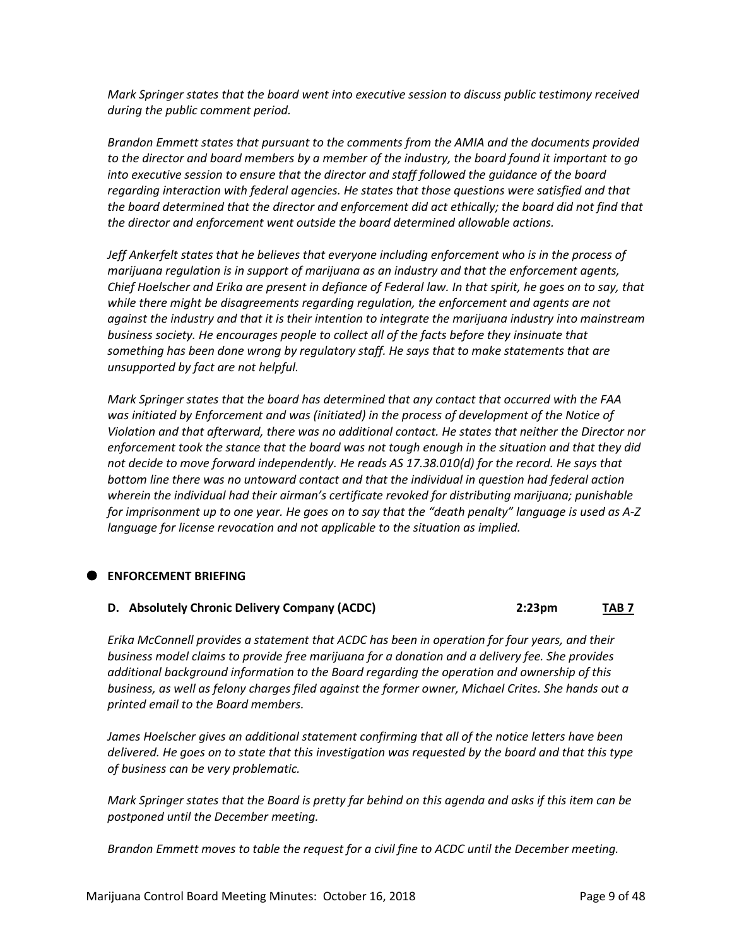*Mark Springer states that the board went into executive session to discuss public testimony received during the public comment period.* 

*Brandon Emmett states that pursuant to the comments from the AMIA and the documents provided to the director and board members by a member of the industry, the board found it important to go into executive session to ensure that the director and staff followed the guidance of the board regarding interaction with federal agencies. He states that those questions were satisfied and that the board determined that the director and enforcement did act ethically; the board did not find that the director and enforcement went outside the board determined allowable actions.* 

*Jeff Ankerfelt states that he believes that everyone including enforcement who is in the process of marijuana regulation is in support of marijuana as an industry and that the enforcement agents, Chief Hoelscher and Erika are present in defiance of Federal law. In that spirit, he goes on to say, that while there might be disagreements regarding regulation, the enforcement and agents are not against the industry and that it is their intention to integrate the marijuana industry into mainstream business society. He encourages people to collect all of the facts before they insinuate that something has been done wrong by regulatory staff. He says that to make statements that are unsupported by fact are not helpful.* 

*Mark Springer states that the board has determined that any contact that occurred with the FAA was initiated by Enforcement and was (initiated) in the process of development of the Notice of Violation and that afterward, there was no additional contact. He states that neither the Director nor enforcement took the stance that the board was not tough enough in the situation and that they did not decide to move forward independently. He reads AS 17.38.010(d) for the record. He says that bottom line there was no untoward contact and that the individual in question had federal action wherein the individual had their airman's certificate revoked for distributing marijuana; punishable for imprisonment up to one year. He goes on to say that the "death penalty" language is used as A-Z language for license revocation and not applicable to the situation as implied.* 

#### **ENFORCEMENT BRIEFING**

#### **D. Absolutely Chronic Delivery Company (ACDC) 2:23pm TAB 7**

*Erika McConnell provides a statement that ACDC has been in operation for four years, and their business model claims to provide free marijuana for a donation and a delivery fee. She provides additional background information to the Board regarding the operation and ownership of this business, as well as felony charges filed against the former owner, Michael Crites. She hands out a printed email to the Board members.*

*James Hoelscher gives an additional statement confirming that all of the notice letters have been delivered. He goes on to state that this investigation was requested by the board and that this type of business can be very problematic.*

*Mark Springer states that the Board is pretty far behind on this agenda and asks if this item can be postponed until the December meeting.*

*Brandon Emmett moves to table the request for a civil fine to ACDC until the December meeting.*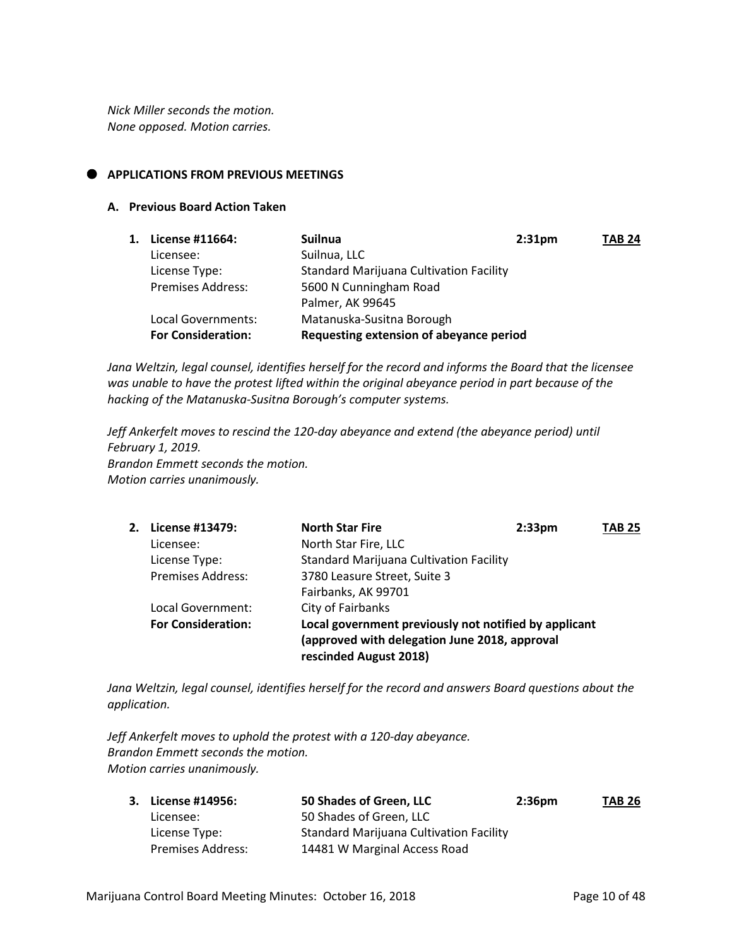*Nick Miller seconds the motion. None opposed. Motion carries.*

## **APPLICATIONS FROM PREVIOUS MEETINGS**

#### **A. Previous Board Action Taken**

| 1. License #11664:        | <b>Suilnua</b>                                 | 2:31 <sub>pm</sub> | <b>TAB 24</b> |
|---------------------------|------------------------------------------------|--------------------|---------------|
| Licensee:                 | Suilnua, LLC                                   |                    |               |
| License Type:             | <b>Standard Marijuana Cultivation Facility</b> |                    |               |
| <b>Premises Address:</b>  | 5600 N Cunningham Road                         |                    |               |
|                           | Palmer, AK 99645                               |                    |               |
| Local Governments:        | Matanuska-Susitna Borough                      |                    |               |
| <b>For Consideration:</b> | Requesting extension of abeyance period        |                    |               |

*Jana Weltzin, legal counsel, identifies herself for the record and informs the Board that the licensee was unable to have the protest lifted within the original abeyance period in part because of the hacking of the Matanuska-Susitna Borough's computer systems.*

*Jeff Ankerfelt moves to rescind the 120-day abeyance and extend (the abeyance period) until February 1, 2019. Brandon Emmett seconds the motion. Motion carries unanimously.* 

| 2. | License #13479:           | <b>North Star Fire</b>                                                                                                           | 2:33 <sub>pm</sub> | <b>TAB 25</b> |
|----|---------------------------|----------------------------------------------------------------------------------------------------------------------------------|--------------------|---------------|
|    | Licensee:                 | North Star Fire, LLC                                                                                                             |                    |               |
|    | License Type:             | <b>Standard Marijuana Cultivation Facility</b>                                                                                   |                    |               |
|    | <b>Premises Address:</b>  | 3780 Leasure Street, Suite 3                                                                                                     |                    |               |
|    |                           | Fairbanks, AK 99701                                                                                                              |                    |               |
|    | Local Government:         | City of Fairbanks                                                                                                                |                    |               |
|    | <b>For Consideration:</b> | Local government previously not notified by applicant<br>(approved with delegation June 2018, approval<br>rescinded August 2018) |                    |               |

*Jana Weltzin, legal counsel, identifies herself for the record and answers Board questions about the application.*

*Jeff Ankerfelt moves to uphold the protest with a 120-day abeyance. Brandon Emmett seconds the motion. Motion carries unanimously.*

| 3. License #14956: | 50 Shades of Green, LLC                        | 2:36 <sub>pm</sub> | <b>TAB 26</b> |
|--------------------|------------------------------------------------|--------------------|---------------|
| Licensee:          | 50 Shades of Green. LLC                        |                    |               |
| License Type:      | <b>Standard Marijuana Cultivation Facility</b> |                    |               |
| Premises Address:  | 14481 W Marginal Access Road                   |                    |               |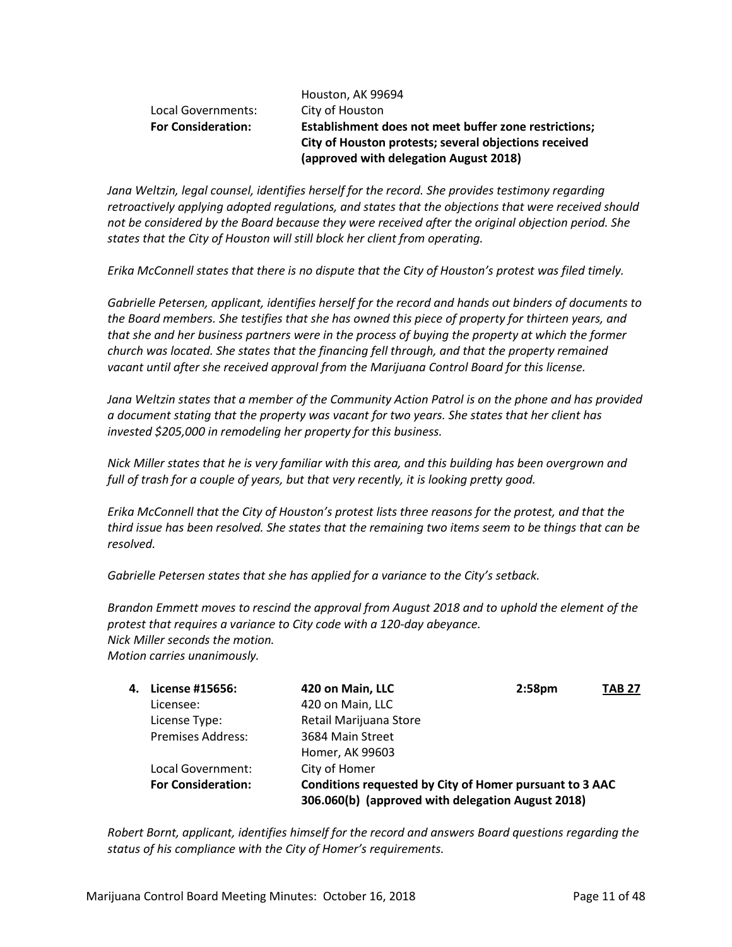|                           | Houston, AK 99694                                                                                              |  |
|---------------------------|----------------------------------------------------------------------------------------------------------------|--|
| Local Governments:        | City of Houston                                                                                                |  |
| <b>For Consideration:</b> | Establishment does not meet buffer zone restrictions;<br>City of Houston protests; several objections received |  |
|                           | (approved with delegation August 2018)                                                                         |  |

*Jana Weltzin, legal counsel, identifies herself for the record. She provides testimony regarding retroactively applying adopted regulations, and states that the objections that were received should not be considered by the Board because they were received after the original objection period. She states that the City of Houston will still block her client from operating.*

*Erika McConnell states that there is no dispute that the City of Houston's protest was filed timely.*

*Gabrielle Petersen, applicant, identifies herself for the record and hands out binders of documents to the Board members. She testifies that she has owned this piece of property for thirteen years, and that she and her business partners were in the process of buying the property at which the former church was located. She states that the financing fell through, and that the property remained vacant until after she received approval from the Marijuana Control Board for this license.*

*Jana Weltzin states that a member of the Community Action Patrol is on the phone and has provided a document stating that the property was vacant for two years. She states that her client has invested \$205,000 in remodeling her property for this business.*

*Nick Miller states that he is very familiar with this area, and this building has been overgrown and full of trash for a couple of years, but that very recently, it is looking pretty good.* 

*Erika McConnell that the City of Houston's protest lists three reasons for the protest, and that the third issue has been resolved. She states that the remaining two items seem to be things that can be resolved.*

*Gabrielle Petersen states that she has applied for a variance to the City's setback.*

*Brandon Emmett moves to rescind the approval from August 2018 and to uphold the element of the protest that requires a variance to City code with a 120-day abeyance. Nick Miller seconds the motion. Motion carries unanimously.*

| 4. | License #15656:           | 420 on Main, LLC                                                                                             | 2:58 <sub>pm</sub> | <b>TAB 27</b> |
|----|---------------------------|--------------------------------------------------------------------------------------------------------------|--------------------|---------------|
|    | Licensee:                 | 420 on Main, LLC                                                                                             |                    |               |
|    | License Type:             | Retail Marijuana Store                                                                                       |                    |               |
|    | <b>Premises Address:</b>  | 3684 Main Street                                                                                             |                    |               |
|    |                           | Homer, AK 99603                                                                                              |                    |               |
|    | Local Government:         | City of Homer                                                                                                |                    |               |
|    | <b>For Consideration:</b> | Conditions requested by City of Homer pursuant to 3 AAC<br>306.060(b) (approved with delegation August 2018) |                    |               |

*Robert Bornt, applicant, identifies himself for the record and answers Board questions regarding the status of his compliance with the City of Homer's requirements.*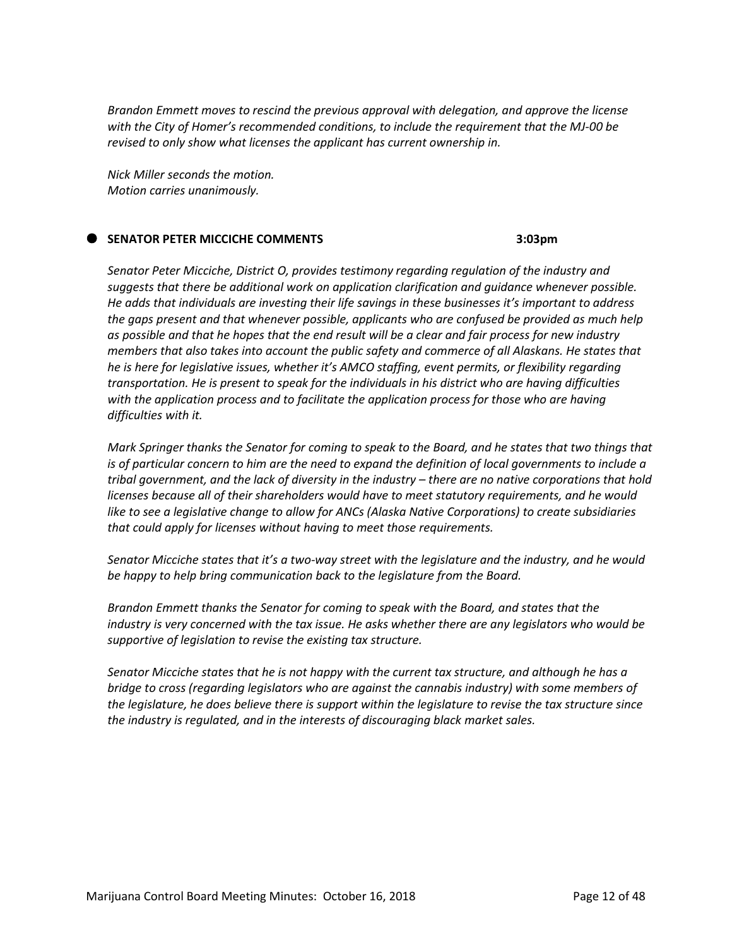*Brandon Emmett moves to rescind the previous approval with delegation, and approve the license with the City of Homer's recommended conditions, to include the requirement that the MJ-00 be revised to only show what licenses the applicant has current ownership in.*

*Nick Miller seconds the motion. Motion carries unanimously.*

#### **SENATOR PETER MICCICHE COMMENTS 3:03pm**

*Senator Peter Micciche, District O, provides testimony regarding regulation of the industry and suggests that there be additional work on application clarification and guidance whenever possible. He adds that individuals are investing their life savings in these businesses it's important to address the gaps present and that whenever possible, applicants who are confused be provided as much help as possible and that he hopes that the end result will be a clear and fair process for new industry members that also takes into account the public safety and commerce of all Alaskans. He states that he is here for legislative issues, whether it's AMCO staffing, event permits, or flexibility regarding transportation. He is present to speak for the individuals in his district who are having difficulties with the application process and to facilitate the application process for those who are having difficulties with it.* 

*Mark Springer thanks the Senator for coming to speak to the Board, and he states that two things that is of particular concern to him are the need to expand the definition of local governments to include a tribal government, and the lack of diversity in the industry – there are no native corporations that hold licenses because all of their shareholders would have to meet statutory requirements, and he would like to see a legislative change to allow for ANCs (Alaska Native Corporations) to create subsidiaries that could apply for licenses without having to meet those requirements.*

*Senator Micciche states that it's a two-way street with the legislature and the industry, and he would be happy to help bring communication back to the legislature from the Board.*

*Brandon Emmett thanks the Senator for coming to speak with the Board, and states that the industry is very concerned with the tax issue. He asks whether there are any legislators who would be supportive of legislation to revise the existing tax structure.*

*Senator Micciche states that he is not happy with the current tax structure, and although he has a bridge to cross (regarding legislators who are against the cannabis industry) with some members of the legislature, he does believe there is support within the legislature to revise the tax structure since the industry is regulated, and in the interests of discouraging black market sales.*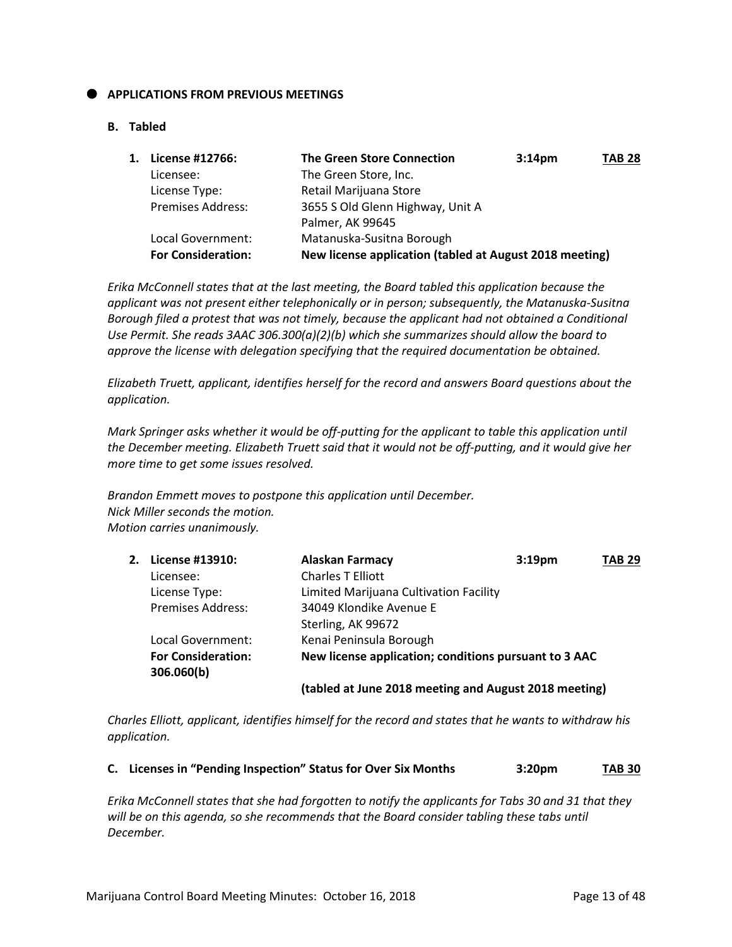#### **APPLICATIONS FROM PREVIOUS MEETINGS**

#### **B. Tabled**

| License #12766:           | <b>The Green Store Connection</b>                       | 3:14 <sub>pm</sub> | <b>TAB 28</b> |  |  |
|---------------------------|---------------------------------------------------------|--------------------|---------------|--|--|
| Licensee:                 | The Green Store, Inc.                                   |                    |               |  |  |
| License Type:             | Retail Marijuana Store                                  |                    |               |  |  |
| <b>Premises Address:</b>  | 3655 S Old Glenn Highway, Unit A                        |                    |               |  |  |
|                           | Palmer, AK 99645                                        |                    |               |  |  |
| Local Government:         | Matanuska-Susitna Borough                               |                    |               |  |  |
| <b>For Consideration:</b> | New license application (tabled at August 2018 meeting) |                    |               |  |  |
|                           |                                                         |                    |               |  |  |

*Erika McConnell states that at the last meeting, the Board tabled this application because the applicant was not present either telephonically or in person; subsequently, the Matanuska-Susitna Borough filed a protest that was not timely, because the applicant had not obtained a Conditional Use Permit. She reads 3AAC 306.300(a)(2)(b) which she summarizes should allow the board to approve the license with delegation specifying that the required documentation be obtained.* 

*Elizabeth Truett, applicant, identifies herself for the record and answers Board questions about the application.*

*Mark Springer asks whether it would be off-putting for the applicant to table this application until the December meeting. Elizabeth Truett said that it would not be off-putting, and it would give her more time to get some issues resolved.*

*Brandon Emmett moves to postpone this application until December. Nick Miller seconds the motion. Motion carries unanimously.*

| 2. | License #13910:                         | <b>Alaskan Farmacy</b>                                | 3:19 <sub>pm</sub> | <b>TAB 29</b> |
|----|-----------------------------------------|-------------------------------------------------------|--------------------|---------------|
|    | Licensee:                               | <b>Charles T Elliott</b>                              |                    |               |
|    | License Type:                           | Limited Marijuana Cultivation Facility                |                    |               |
|    | <b>Premises Address:</b>                | 34049 Klondike Avenue E                               |                    |               |
|    |                                         | Sterling, AK 99672                                    |                    |               |
|    | Local Government:                       | Kenai Peninsula Borough                               |                    |               |
|    | <b>For Consideration:</b><br>306.060(b) | New license application; conditions pursuant to 3 AAC |                    |               |
|    |                                         | (tabled at June 2018 meeting and August 2018 meeting) |                    |               |

*Charles Elliott, applicant, identifies himself for the record and states that he wants to withdraw his application.*

|  | C. Licenses in "Pending Inspection" Status for Over Six Months | 3:20 <sub>pm</sub> | <b>TAB 30</b> |
|--|----------------------------------------------------------------|--------------------|---------------|
|--|----------------------------------------------------------------|--------------------|---------------|

*Erika McConnell states that she had forgotten to notify the applicants for Tabs 30 and 31 that they*  will be on this agenda, so she recommends that the Board consider tabling these tabs until *December.*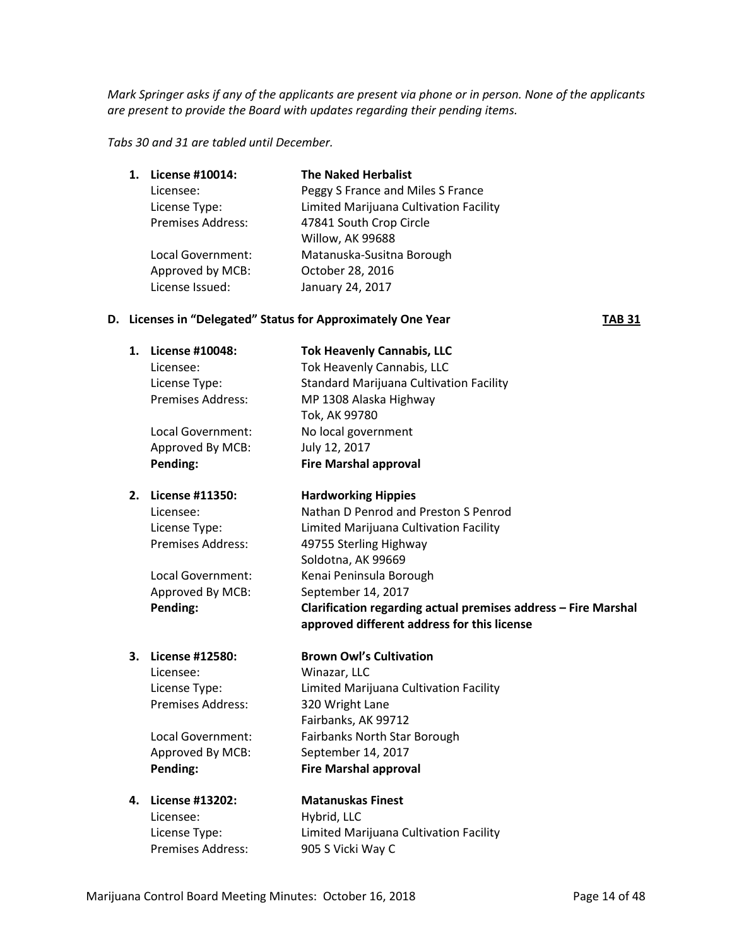*Mark Springer asks if any of the applicants are present via phone or in person. None of the applicants are present to provide the Board with updates regarding their pending items.*

*Tabs 30 and 31 are tabled until December.*

| 1. | License #10014:          | <b>The Naked Herbalist</b>             |
|----|--------------------------|----------------------------------------|
|    | Licensee:                | Peggy S France and Miles S France      |
|    | License Type:            | Limited Marijuana Cultivation Facility |
|    | <b>Premises Address:</b> | 47841 South Crop Circle                |
|    |                          | Willow, AK 99688                       |
|    | Local Government:        | Matanuska-Susitna Borough              |
|    | Approved by MCB:         | October 28, 2016                       |
|    | License Issued:          | January 24, 2017                       |
|    |                          |                                        |

#### **D. Licenses in "Delegated" Status for Approximately One Year TAB 31**

| 1. | License #10048:          | <b>Tok Heavenly Cannabis, LLC</b>              |
|----|--------------------------|------------------------------------------------|
|    | Licensee:                | Tok Heavenly Cannabis, LLC                     |
|    | License Type:            | <b>Standard Marijuana Cultivation Facility</b> |
|    | <b>Premises Address:</b> | MP 1308 Alaska Highway                         |
|    |                          | Tok, AK 99780                                  |
|    | Local Government:        | No local government                            |
|    | Approved By MCB:         | July 12, 2017                                  |
|    | Pending:                 | <b>Fire Marshal approval</b>                   |
|    | 2. License #11350:       | <b>Hardworking Hippies</b>                     |

Soldotna, AK 99669

Fairbanks, AK 99712

Licensee: Nathan D Penrod and Preston S Penrod License Type: Limited Marijuana Cultivation Facility Premises Address: 49755 Sterling Highway

Local Government: Kenai Peninsula Borough Approved By MCB: September 14, 2017 **Pending: Clarification regarding actual premises address – Fire Marshal** 

## **3. License #12580: Brown Owl's Cultivation**

Licensee: Winazar, LLC License Type: Limited Marijuana Cultivation Facility Premises Address: 320 Wright Lane

Local Government: Fairbanks North Star Borough Approved By MCB: September 14, 2017 **Pending: Fire Marshal approval**

# Licensee: Hybrid, LLC

**4. License #13202: Matanuskas Finest** License Type: Limited Marijuana Cultivation Facility Premises Address: 905 S Vicki Way C

**approved different address for this license**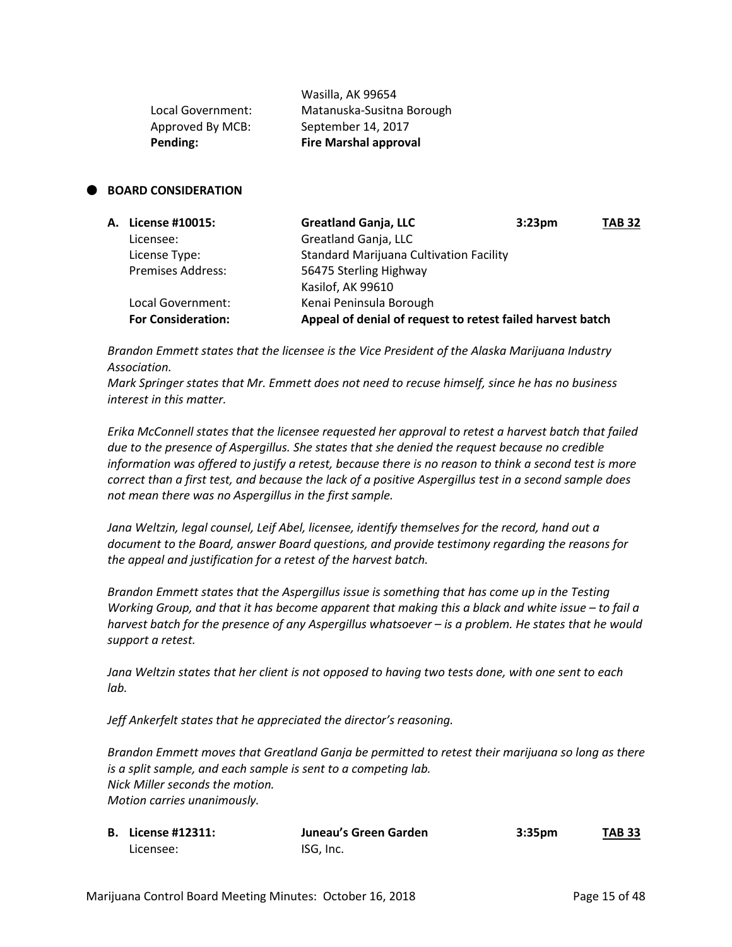| Pending:          | <b>Fire Marshal approval</b> |
|-------------------|------------------------------|
| Approved By MCB:  | September 14, 2017           |
| Local Government: | Matanuska-Susitna Borough    |
|                   | Wasilla, AK 99654            |

#### **BOARD CONSIDERATION**

| A. License #10015:        | <b>Greatland Ganja, LLC</b>                                | 3:23 <sub>pm</sub> | <b>TAB 32</b> |
|---------------------------|------------------------------------------------------------|--------------------|---------------|
| Licensee:                 | Greatland Ganja, LLC                                       |                    |               |
| License Type:             | <b>Standard Marijuana Cultivation Facility</b>             |                    |               |
| <b>Premises Address:</b>  | 56475 Sterling Highway                                     |                    |               |
|                           | Kasilof, AK 99610                                          |                    |               |
| Local Government:         | Kenai Peninsula Borough                                    |                    |               |
| <b>For Consideration:</b> | Appeal of denial of request to retest failed harvest batch |                    |               |

*Brandon Emmett states that the licensee is the Vice President of the Alaska Marijuana Industry Association.*

*Mark Springer states that Mr. Emmett does not need to recuse himself, since he has no business interest in this matter.*

*Erika McConnell states that the licensee requested her approval to retest a harvest batch that failed due to the presence of Aspergillus. She states that she denied the request because no credible information was offered to justify a retest, because there is no reason to think a second test is more correct than a first test, and because the lack of a positive Aspergillus test in a second sample does not mean there was no Aspergillus in the first sample.*

*Jana Weltzin, legal counsel, Leif Abel, licensee, identify themselves for the record, hand out a document to the Board, answer Board questions, and provide testimony regarding the reasons for the appeal and justification for a retest of the harvest batch.*

*Brandon Emmett states that the Aspergillus issue is something that has come up in the Testing Working Group, and that it has become apparent that making this a black and white issue – to fail a harvest batch for the presence of any Aspergillus whatsoever – is a problem. He states that he would support a retest.*

*Jana Weltzin states that her client is not opposed to having two tests done, with one sent to each lab.*

*Jeff Ankerfelt states that he appreciated the director's reasoning.*

*Brandon Emmett moves that Greatland Ganja be permitted to retest their marijuana so long as there is a split sample, and each sample is sent to a competing lab. Nick Miller seconds the motion. Motion carries unanimously.*

| <b>B.</b> License #12311: | Juneau's Green Garden | 3:35 <sub>pm</sub> | <b>TAB 33</b> |
|---------------------------|-----------------------|--------------------|---------------|
| Licensee:                 | ISG, Inc.             |                    |               |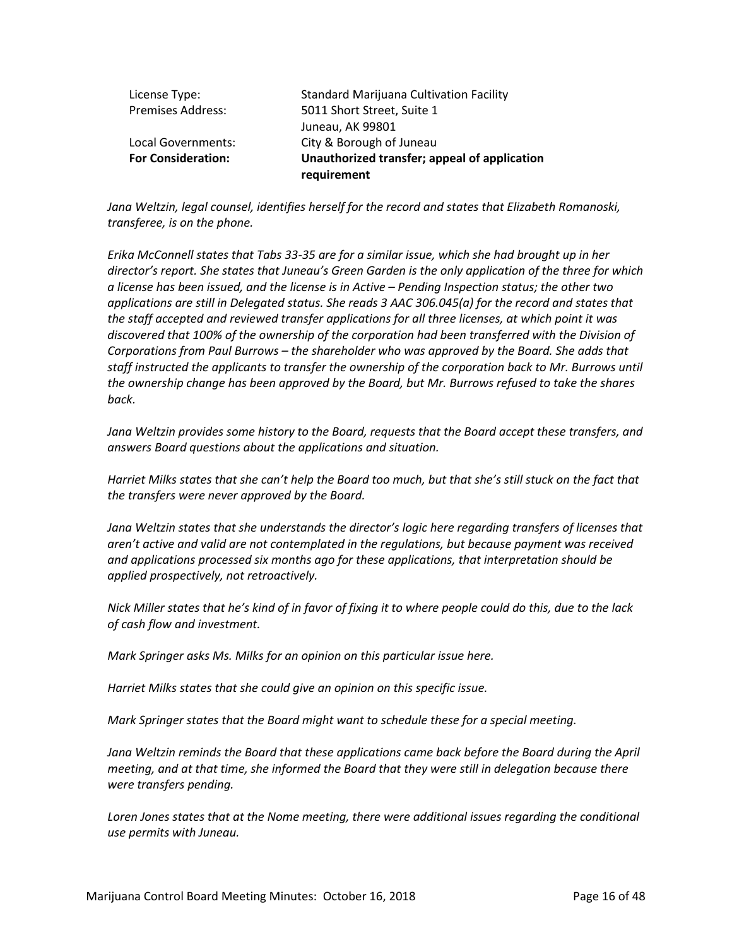|                           | requirement                                    |
|---------------------------|------------------------------------------------|
| <b>For Consideration:</b> | Unauthorized transfer; appeal of application   |
| Local Governments:        | City & Borough of Juneau                       |
|                           | Juneau, AK 99801                               |
| <b>Premises Address:</b>  | 5011 Short Street, Suite 1                     |
| License Type:             | <b>Standard Marijuana Cultivation Facility</b> |

Jana Weltzin, legal counsel, identifies herself for the record and states that Elizabeth Romanoski, *transferee, is on the phone.*

*Erika McConnell states that Tabs 33-35 are for a similar issue, which she had brought up in her director's report. She states that Juneau's Green Garden is the only application of the three for which a license has been issued, and the license is in Active – Pending Inspection status; the other two applications are still in Delegated status. She reads 3 AAC 306.045(a) for the record and states that the staff accepted and reviewed transfer applications for all three licenses, at which point it was discovered that 100% of the ownership of the corporation had been transferred with the Division of Corporations from Paul Burrows – the shareholder who was approved by the Board. She adds that*  staff instructed the applicants to transfer the ownership of the corporation back to Mr. Burrows until *the ownership change has been approved by the Board, but Mr. Burrows refused to take the shares back.*

*Jana Weltzin provides some history to the Board, requests that the Board accept these transfers, and answers Board questions about the applications and situation.*

*Harriet Milks states that she can't help the Board too much, but that she's still stuck on the fact that the transfers were never approved by the Board.*

Jana Weltzin states that she understands the director's logic here regarding transfers of licenses that *aren't active and valid are not contemplated in the regulations, but because payment was received and applications processed six months ago for these applications, that interpretation should be applied prospectively, not retroactively.*

*Nick Miller states that he's kind of in favor of fixing it to where people could do this, due to the lack of cash flow and investment.*

*Mark Springer asks Ms. Milks for an opinion on this particular issue here.*

*Harriet Milks states that she could give an opinion on this specific issue.*

*Mark Springer states that the Board might want to schedule these for a special meeting.*

*Jana Weltzin reminds the Board that these applications came back before the Board during the April meeting, and at that time, she informed the Board that they were still in delegation because there were transfers pending.*

Loren Jones states that at the Nome meeting, there were additional issues regarding the conditional *use permits with Juneau.*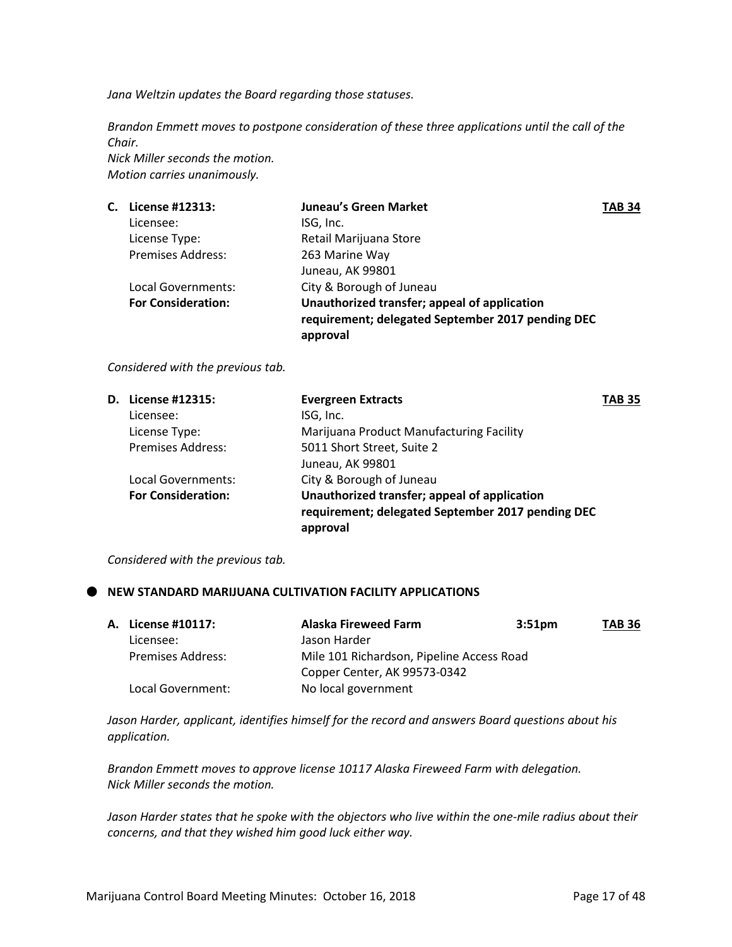*Jana Weltzin updates the Board regarding those statuses.*

*Brandon Emmett moves to postpone consideration of these three applications until the call of the Chair.*

*Nick Miller seconds the motion. Motion carries unanimously.*

| С. | License #12313:           | <b>Juneau's Green Market</b>                      | <b>TAB 34</b> |
|----|---------------------------|---------------------------------------------------|---------------|
|    | Licensee:                 | ISG, Inc.                                         |               |
|    | License Type:             | Retail Marijuana Store                            |               |
|    | <b>Premises Address:</b>  | 263 Marine Way                                    |               |
|    |                           | Juneau, AK 99801                                  |               |
|    | Local Governments:        | City & Borough of Juneau                          |               |
|    | <b>For Consideration:</b> | Unauthorized transfer; appeal of application      |               |
|    |                           | requirement; delegated September 2017 pending DEC |               |
|    |                           | approval                                          |               |

*Considered with the previous tab.* 

| <b>D.</b> License #12315: | <b>Evergreen Extracts</b>                                                                                     | TAB 35 |
|---------------------------|---------------------------------------------------------------------------------------------------------------|--------|
| Licensee:                 | ISG, Inc.                                                                                                     |        |
| License Type:             | Marijuana Product Manufacturing Facility                                                                      |        |
| <b>Premises Address:</b>  | 5011 Short Street, Suite 2                                                                                    |        |
|                           | Juneau, AK 99801                                                                                              |        |
| Local Governments:        | City & Borough of Juneau                                                                                      |        |
| <b>For Consideration:</b> | Unauthorized transfer; appeal of application<br>requirement; delegated September 2017 pending DEC<br>approval |        |
|                           |                                                                                                               |        |

*Considered with the previous tab.* 

## **NEW STANDARD MARIJUANA CULTIVATION FACILITY APPLICATIONS**

| A. License #10117:       | <b>Alaska Fireweed Farm</b>               | 3:51 <sub>pm</sub> | <b>TAB 36</b> |
|--------------------------|-------------------------------------------|--------------------|---------------|
| Licensee:                | Jason Harder                              |                    |               |
| <b>Premises Address:</b> | Mile 101 Richardson, Pipeline Access Road |                    |               |
|                          | Copper Center, AK 99573-0342              |                    |               |
| Local Government:        | No local government                       |                    |               |

*Jason Harder, applicant, identifies himself for the record and answers Board questions about his application.*

*Brandon Emmett moves to approve license 10117 Alaska Fireweed Farm with delegation. Nick Miller seconds the motion.*

*Jason Harder states that he spoke with the objectors who live within the one-mile radius about their concerns, and that they wished him good luck either way.*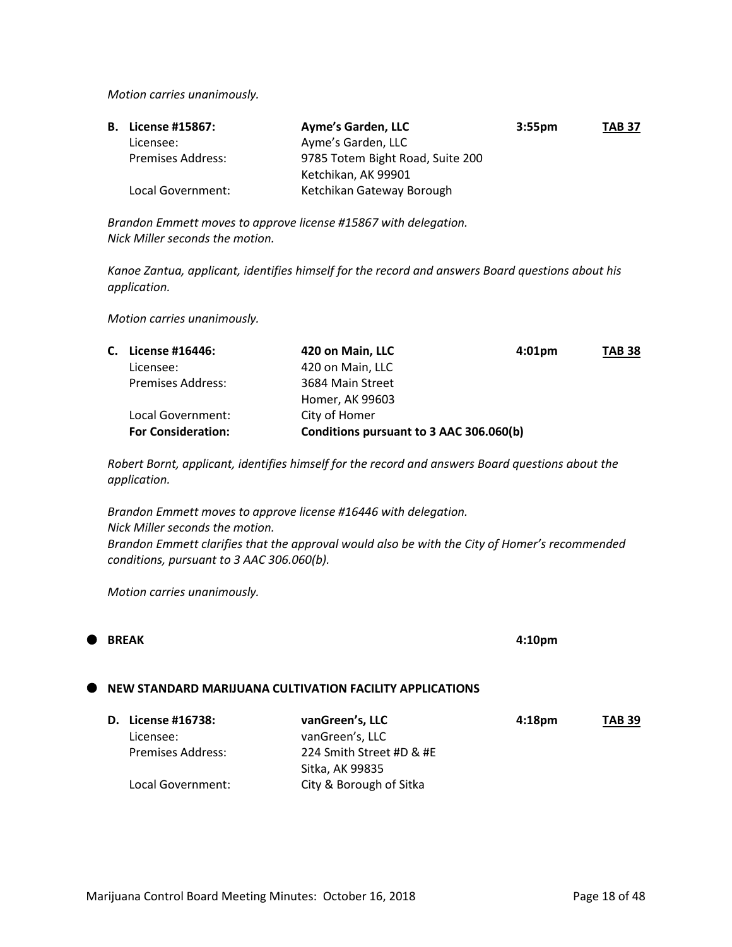*Motion carries unanimously.* 

| <b>B.</b> License #15867: | Ayme's Garden, LLC               | 3:55 <sub>pm</sub> | <b>TAB 37</b> |
|---------------------------|----------------------------------|--------------------|---------------|
| Licensee:                 | Ayme's Garden, LLC               |                    |               |
| <b>Premises Address:</b>  | 9785 Totem Bight Road, Suite 200 |                    |               |
|                           | Ketchikan, AK 99901              |                    |               |
| Local Government:         | Ketchikan Gateway Borough        |                    |               |

*Brandon Emmett moves to approve license #15867 with delegation. Nick Miller seconds the motion.*

*Kanoe Zantua, applicant, identifies himself for the record and answers Board questions about his application.*

*Motion carries unanimously.*

|                           | 420 on Main, LLC   | $4:01$ pm | <b>TAB 38</b>                           |
|---------------------------|--------------------|-----------|-----------------------------------------|
| Licensee:                 | 420 on Main, LLC   |           |                                         |
| <b>Premises Address:</b>  | 3684 Main Street   |           |                                         |
|                           | Homer, AK 99603    |           |                                         |
| Local Government:         | City of Homer      |           |                                         |
| <b>For Consideration:</b> |                    |           |                                         |
|                           | C. License #16446: |           | Conditions pursuant to 3 AAC 306.060(b) |

*Robert Bornt, applicant, identifies himself for the record and answers Board questions about the application.*

*Brandon Emmett moves to approve license #16446 with delegation. Nick Miller seconds the motion. Brandon Emmett clarifies that the approval would also be with the City of Homer's recommended conditions, pursuant to 3 AAC 306.060(b).*

*Motion carries unanimously.*

# **BREAK 4:10pm**

#### **NEW STANDARD MARIJUANA CULTIVATION FACILITY APPLICATIONS**

| D. License #16738: | vanGreen's, LLC          | 4:18 <sub>pm</sub> | <b>TAB 39</b> |
|--------------------|--------------------------|--------------------|---------------|
| Licensee:          | vanGreen's, LLC          |                    |               |
| Premises Address:  | 224 Smith Street #D & #E |                    |               |
|                    | Sitka, AK 99835          |                    |               |
| Local Government:  | City & Borough of Sitka  |                    |               |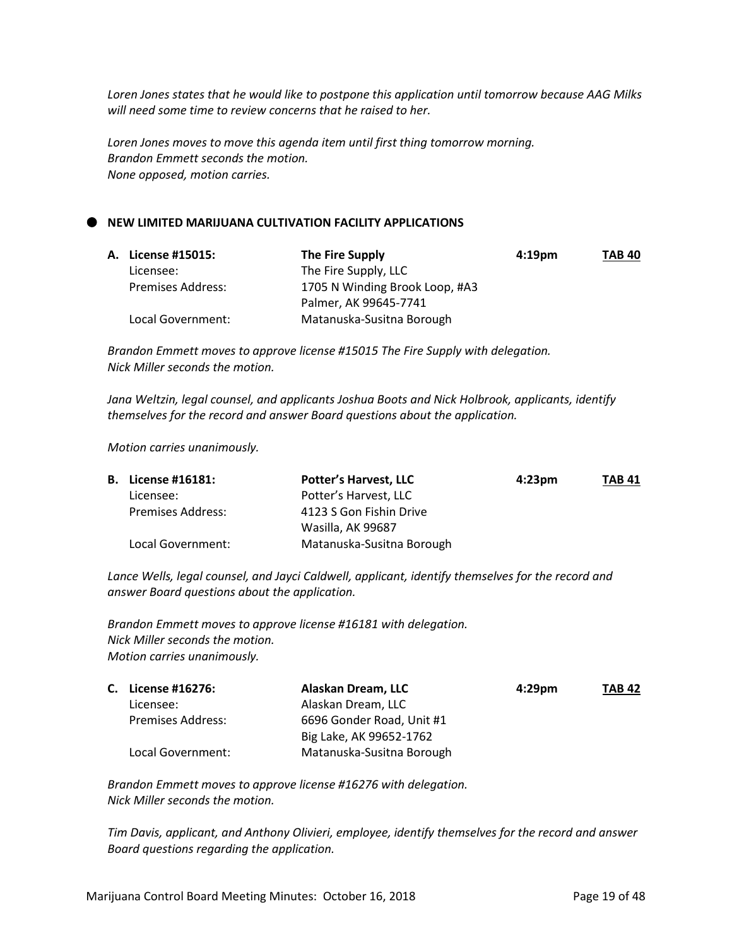*Loren Jones states that he would like to postpone this application until tomorrow because AAG Milks will need some time to review concerns that he raised to her.*

*Loren Jones moves to move this agenda item until first thing tomorrow morning. Brandon Emmett seconds the motion. None opposed, motion carries.*

#### **NEW LIMITED MARIJUANA CULTIVATION FACILITY APPLICATIONS**

| A. License #15015: | The Fire Supply                | 4:19 <sub>pm</sub> | <b>TAB 40</b> |
|--------------------|--------------------------------|--------------------|---------------|
| Licensee:          | The Fire Supply, LLC           |                    |               |
| Premises Address:  | 1705 N Winding Brook Loop, #A3 |                    |               |
|                    | Palmer, AK 99645-7741          |                    |               |
| Local Government:  | Matanuska-Susitna Borough      |                    |               |

*Brandon Emmett moves to approve license #15015 The Fire Supply with delegation. Nick Miller seconds the motion.*

*Jana Weltzin, legal counsel, and applicants Joshua Boots and Nick Holbrook, applicants, identify themselves for the record and answer Board questions about the application.*

*Motion carries unanimously.*

| <b>B.</b> License #16181: | <b>Potter's Harvest, LLC</b> | $4:23 \text{pm}$ | <b>TAB 41</b> |
|---------------------------|------------------------------|------------------|---------------|
| Licensee:                 | Potter's Harvest, LLC        |                  |               |
| Premises Address:         | 4123 S Gon Fishin Drive      |                  |               |
|                           | Wasilla, AK 99687            |                  |               |
| Local Government:         | Matanuska-Susitna Borough    |                  |               |

*Lance Wells, legal counsel, and Jayci Caldwell, applicant, identify themselves for the record and answer Board questions about the application.*

*Brandon Emmett moves to approve license #16181 with delegation. Nick Miller seconds the motion. Motion carries unanimously.*

| C. License #16276:       | Alaskan Dream, LLC        | $4:29$ pm | <b>TAB 42</b> |
|--------------------------|---------------------------|-----------|---------------|
| Licensee:                | Alaskan Dream, LLC        |           |               |
| <b>Premises Address:</b> | 6696 Gonder Road, Unit #1 |           |               |
|                          | Big Lake, AK 99652-1762   |           |               |
| Local Government:        | Matanuska-Susitna Borough |           |               |

*Brandon Emmett moves to approve license #16276 with delegation. Nick Miller seconds the motion.*

*Tim Davis, applicant, and Anthony Olivieri, employee, identify themselves for the record and answer Board questions regarding the application.*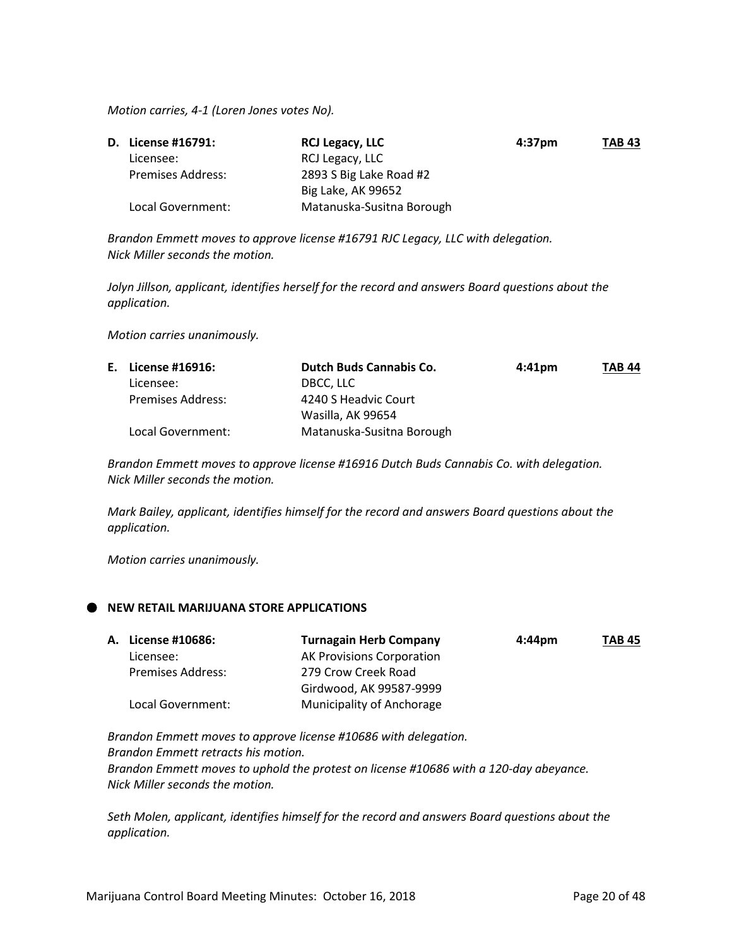*Motion carries, 4-1 (Loren Jones votes No).*

| <b>D.</b> License #16791: | <b>RCJ Legacy, LLC</b>    | 4:37 <sub>pm</sub> | <b>TAB 43</b> |
|---------------------------|---------------------------|--------------------|---------------|
| Licensee:                 | RCJ Legacy, LLC           |                    |               |
| <b>Premises Address:</b>  | 2893 S Big Lake Road #2   |                    |               |
|                           | Big Lake, AK 99652        |                    |               |
| Local Government:         | Matanuska-Susitna Borough |                    |               |

*Brandon Emmett moves to approve license #16791 RJC Legacy, LLC with delegation. Nick Miller seconds the motion.*

*Jolyn Jillson, applicant, identifies herself for the record and answers Board questions about the application.*

*Motion carries unanimously.*

| E. License #16916:       | <b>Dutch Buds Cannabis Co.</b> | $4:41$ pm | <b>TAB 44</b> |
|--------------------------|--------------------------------|-----------|---------------|
| Licensee:                | DBCC, LLC                      |           |               |
| <b>Premises Address:</b> | 4240 S Headvic Court           |           |               |
|                          | Wasilla, AK 99654              |           |               |
| Local Government:        | Matanuska-Susitna Borough      |           |               |

*Brandon Emmett moves to approve license #16916 Dutch Buds Cannabis Co. with delegation. Nick Miller seconds the motion.*

*Mark Bailey, applicant, identifies himself for the record and answers Board questions about the application.*

*Motion carries unanimously.*

#### **NEW RETAIL MARIJUANA STORE APPLICATIONS**

| A. License #10686:       | <b>Turnagain Herb Company</b>    | $4:44 \text{pm}$ | TAB 45 |
|--------------------------|----------------------------------|------------------|--------|
| Licensee:                | <b>AK Provisions Corporation</b> |                  |        |
| <b>Premises Address:</b> | 279 Crow Creek Road              |                  |        |
|                          | Girdwood, AK 99587-9999          |                  |        |
| Local Government:        | Municipality of Anchorage        |                  |        |
|                          |                                  |                  |        |

*Brandon Emmett moves to approve license #10686 with delegation. Brandon Emmett retracts his motion. Brandon Emmett moves to uphold the protest on license #10686 with a 120-day abeyance. Nick Miller seconds the motion.*

*Seth Molen, applicant, identifies himself for the record and answers Board questions about the application.*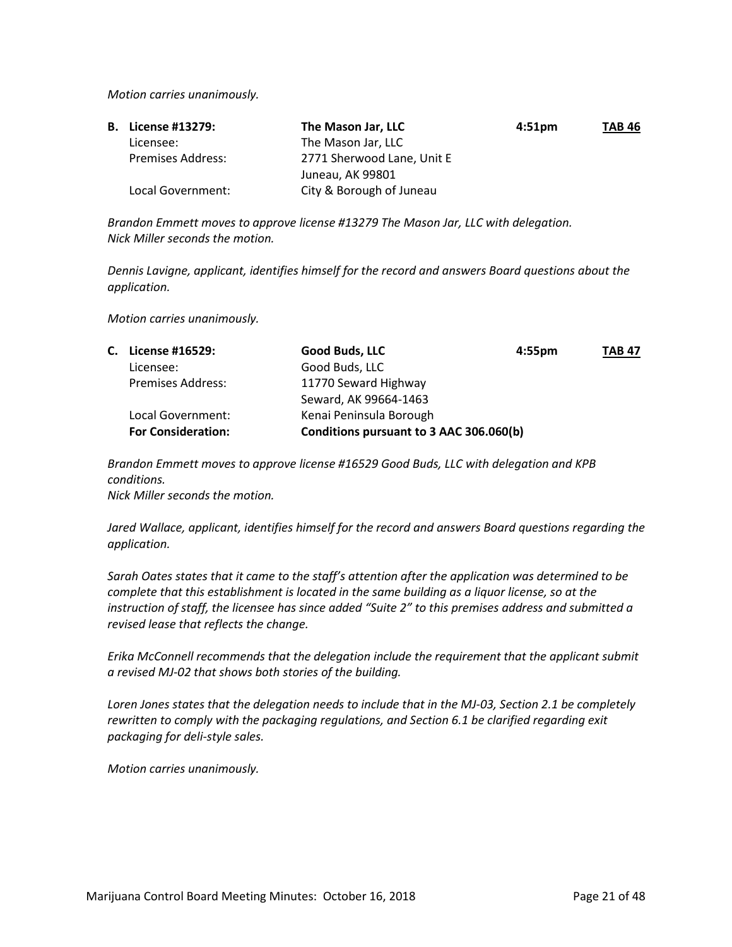*Motion carries unanimously.*

| <b>B.</b> License #13279: | The Mason Jar, LLC         | 4:51 <sub>pm</sub> | <b>TAB 46</b> |
|---------------------------|----------------------------|--------------------|---------------|
| Licensee:                 | The Mason Jar, LLC         |                    |               |
| Premises Address:         | 2771 Sherwood Lane, Unit E |                    |               |
|                           | Juneau, AK 99801           |                    |               |
| Local Government:         | City & Borough of Juneau   |                    |               |

*Brandon Emmett moves to approve license #13279 The Mason Jar, LLC with delegation. Nick Miller seconds the motion.*

*Dennis Lavigne, applicant, identifies himself for the record and answers Board questions about the application.*

*Motion carries unanimously.* 

| С. | License #16529:           | Good Buds, LLC<br>$4:55$ pm             | <b>TAB 47</b> |
|----|---------------------------|-----------------------------------------|---------------|
|    | Licensee:                 | Good Buds, LLC                          |               |
|    | <b>Premises Address:</b>  | 11770 Seward Highway                    |               |
|    |                           | Seward, AK 99664-1463                   |               |
|    | Local Government:         | Kenai Peninsula Borough                 |               |
|    | <b>For Consideration:</b> | Conditions pursuant to 3 AAC 306.060(b) |               |

*Brandon Emmett moves to approve license #16529 Good Buds, LLC with delegation and KPB conditions.*

*Nick Miller seconds the motion.*

*Jared Wallace, applicant, identifies himself for the record and answers Board questions regarding the application.*

*Sarah Oates states that it came to the staff's attention after the application was determined to be complete that this establishment is located in the same building as a liquor license, so at the instruction of staff, the licensee has since added "Suite 2" to this premises address and submitted a revised lease that reflects the change.*

*Erika McConnell recommends that the delegation include the requirement that the applicant submit a revised MJ-02 that shows both stories of the building.*

*Loren Jones states that the delegation needs to include that in the MJ-03, Section 2.1 be completely rewritten to comply with the packaging regulations, and Section 6.1 be clarified regarding exit packaging for deli-style sales.* 

*Motion carries unanimously.*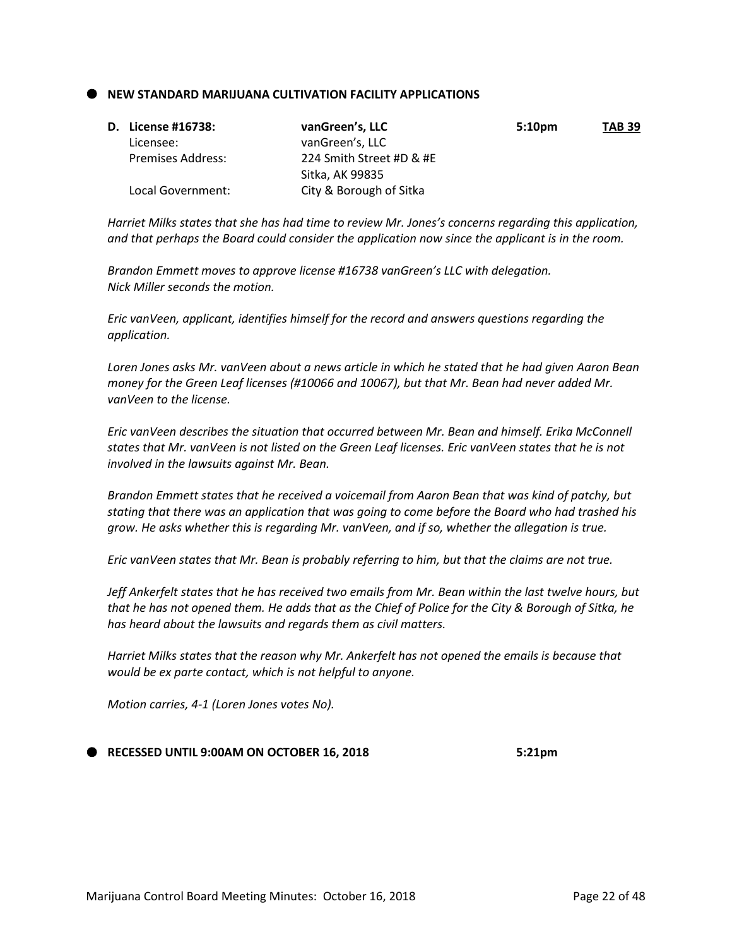#### **NEW STANDARD MARIJUANA CULTIVATION FACILITY APPLICATIONS**

| D. License #16738:       | vanGreen's, LLC          | 5:10 <sub>pm</sub> | <b>TAB 39</b> |
|--------------------------|--------------------------|--------------------|---------------|
| Licensee:                | vanGreen's, LLC          |                    |               |
| <b>Premises Address:</b> | 224 Smith Street #D & #E |                    |               |
|                          | Sitka, AK 99835          |                    |               |
| Local Government:        | City & Borough of Sitka  |                    |               |

*Harriet Milks states that she has had time to review Mr. Jones's concerns regarding this application, and that perhaps the Board could consider the application now since the applicant is in the room.*

*Brandon Emmett moves to approve license #16738 vanGreen's LLC with delegation. Nick Miller seconds the motion.*

*Eric vanVeen, applicant, identifies himself for the record and answers questions regarding the application.*

*Loren Jones asks Mr. vanVeen about a news article in which he stated that he had given Aaron Bean money for the Green Leaf licenses (#10066 and 10067), but that Mr. Bean had never added Mr. vanVeen to the license.*

*Eric vanVeen describes the situation that occurred between Mr. Bean and himself. Erika McConnell states that Mr. vanVeen is not listed on the Green Leaf licenses. Eric vanVeen states that he is not involved in the lawsuits against Mr. Bean.*

*Brandon Emmett states that he received a voicemail from Aaron Bean that was kind of patchy, but stating that there was an application that was going to come before the Board who had trashed his grow. He asks whether this is regarding Mr. vanVeen, and if so, whether the allegation is true.*

*Eric vanVeen states that Mr. Bean is probably referring to him, but that the claims are not true.*

*Jeff Ankerfelt states that he has received two emails from Mr. Bean within the last twelve hours, but that he has not opened them. He adds that as the Chief of Police for the City & Borough of Sitka, he has heard about the lawsuits and regards them as civil matters.*

*Harriet Milks states that the reason why Mr. Ankerfelt has not opened the emails is because that would be ex parte contact, which is not helpful to anyone.*

*Motion carries, 4-1 (Loren Jones votes No).*

#### **RECESSED UNTIL 9:00AM ON OCTOBER 16, 2018 5:21pm**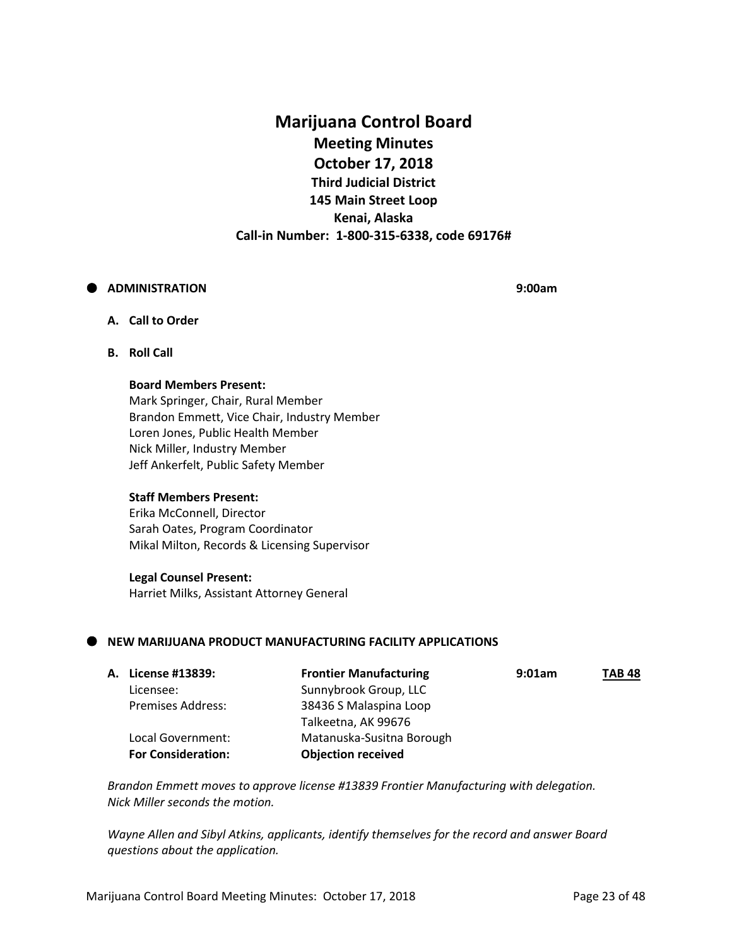# **Marijuana Control Board Meeting Minutes October 17, 2018 Third Judicial District 145 Main Street Loop Kenai, Alaska Call-in Number: 1-800-315-6338, code 69176#**

#### **ADMINISTRATION 9:00am**

#### **A. Call to Order**

**B. Roll Call**

#### **Board Members Present:**

Mark Springer, Chair, Rural Member Brandon Emmett, Vice Chair, Industry Member Loren Jones, Public Health Member Nick Miller, Industry Member Jeff Ankerfelt, Public Safety Member

#### **Staff Members Present:**

Erika McConnell, Director Sarah Oates, Program Coordinator Mikal Milton, Records & Licensing Supervisor

#### **Legal Counsel Present:**

Harriet Milks, Assistant Attorney General

#### **NEW MARIJUANA PRODUCT MANUFACTURING FACILITY APPLICATIONS**

| A. License #13839:        | <b>Frontier Manufacturing</b> | 9:01am | <b>TAB 48</b> |
|---------------------------|-------------------------------|--------|---------------|
| Licensee:                 | Sunnybrook Group, LLC         |        |               |
| <b>Premises Address:</b>  | 38436 S Malaspina Loop        |        |               |
|                           | Talkeetna, AK 99676           |        |               |
| Local Government:         | Matanuska-Susitna Borough     |        |               |
| <b>For Consideration:</b> | <b>Objection received</b>     |        |               |

*Brandon Emmett moves to approve license #13839 Frontier Manufacturing with delegation. Nick Miller seconds the motion.*

*Wayne Allen and Sibyl Atkins, applicants, identify themselves for the record and answer Board questions about the application.*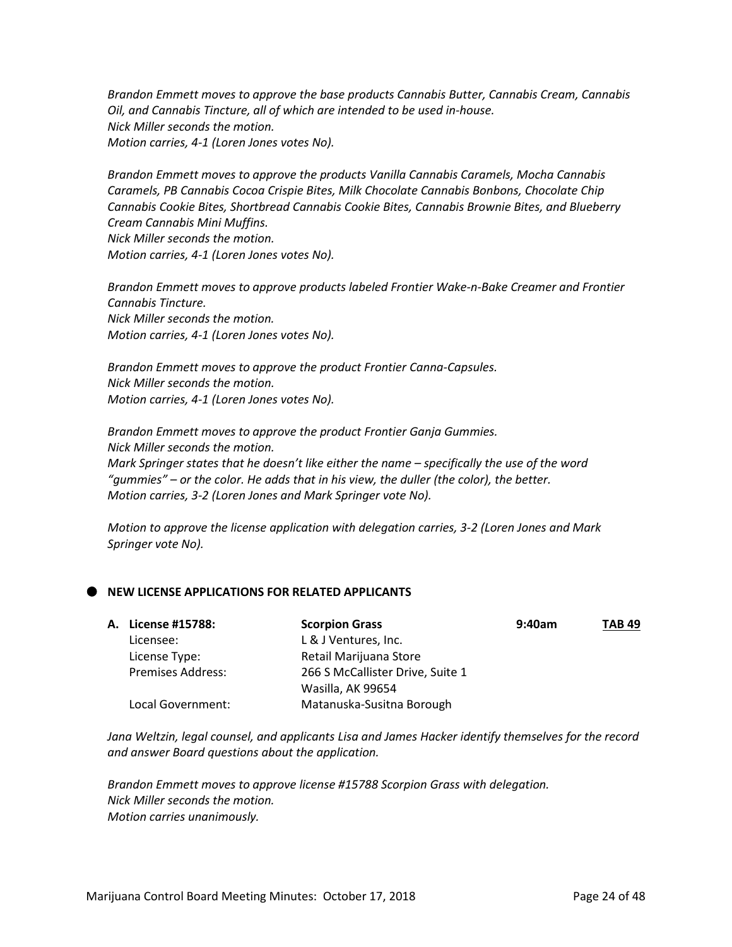*Brandon Emmett moves to approve the base products Cannabis Butter, Cannabis Cream, Cannabis Oil, and Cannabis Tincture, all of which are intended to be used in-house. Nick Miller seconds the motion. Motion carries, 4-1 (Loren Jones votes No).*

*Brandon Emmett moves to approve the products Vanilla Cannabis Caramels, Mocha Cannabis Caramels, PB Cannabis Cocoa Crispie Bites, Milk Chocolate Cannabis Bonbons, Chocolate Chip Cannabis Cookie Bites, Shortbread Cannabis Cookie Bites, Cannabis Brownie Bites, and Blueberry Cream Cannabis Mini Muffins. Nick Miller seconds the motion.*

*Motion carries, 4-1 (Loren Jones votes No).*

*Brandon Emmett moves to approve products labeled Frontier Wake-n-Bake Creamer and Frontier Cannabis Tincture. Nick Miller seconds the motion. Motion carries, 4-1 (Loren Jones votes No).*

*Brandon Emmett moves to approve the product Frontier Canna-Capsules. Nick Miller seconds the motion. Motion carries, 4-1 (Loren Jones votes No).*

*Brandon Emmett moves to approve the product Frontier Ganja Gummies. Nick Miller seconds the motion. Mark Springer states that he doesn't like either the name – specifically the use of the word "gummies" – or the color. He adds that in his view, the duller (the color), the better. Motion carries, 3-2 (Loren Jones and Mark Springer vote No).*

*Motion to approve the license application with delegation carries, 3-2 (Loren Jones and Mark Springer vote No).* 

## **NEW LICENSE APPLICATIONS FOR RELATED APPLICANTS**

| A. License #15788:       | <b>Scorpion Grass</b>            | 9:40am | <b>TAB 49</b> |
|--------------------------|----------------------------------|--------|---------------|
| Licensee:                | L & J Ventures, Inc.             |        |               |
| License Type:            | Retail Marijuana Store           |        |               |
| <b>Premises Address:</b> | 266 S McCallister Drive, Suite 1 |        |               |
|                          | Wasilla, AK 99654                |        |               |
| Local Government:        | Matanuska-Susitna Borough        |        |               |

*Jana Weltzin, legal counsel, and applicants Lisa and James Hacker identify themselves for the record and answer Board questions about the application.*

*Brandon Emmett moves to approve license #15788 Scorpion Grass with delegation. Nick Miller seconds the motion. Motion carries unanimously.*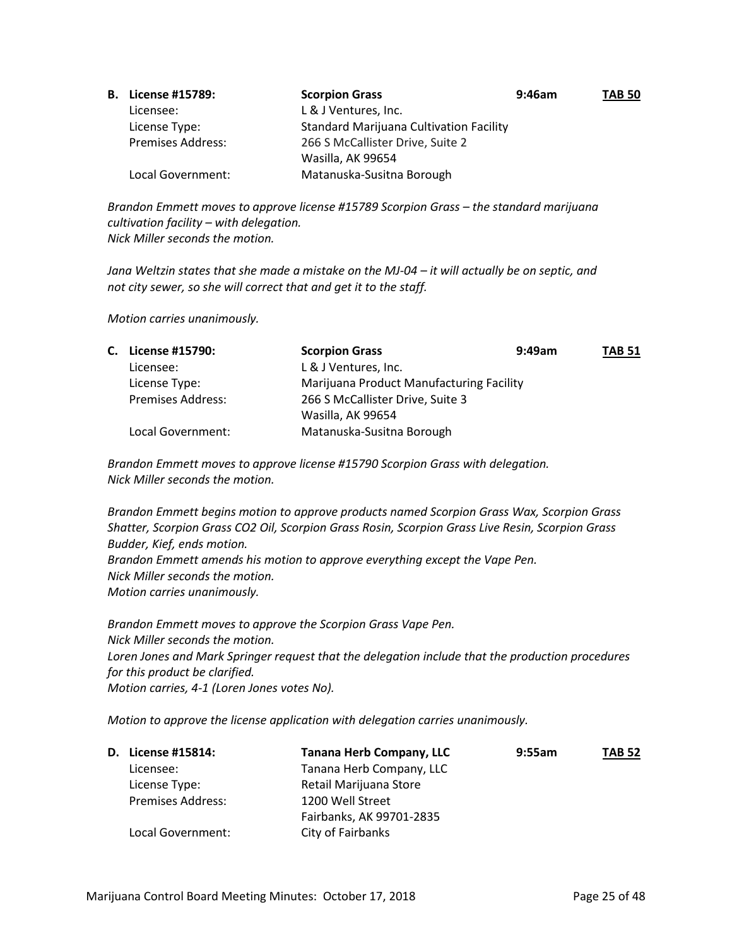| <b>B.</b> License #15789: | <b>Scorpion Grass</b>                          | $9:46$ am | <b>TAB 50</b> |
|---------------------------|------------------------------------------------|-----------|---------------|
| Licensee:                 | L & J Ventures, Inc.                           |           |               |
| License Type:             | <b>Standard Marijuana Cultivation Facility</b> |           |               |
| <b>Premises Address:</b>  | 266 S McCallister Drive, Suite 2               |           |               |
|                           | Wasilla, AK 99654                              |           |               |
| Local Government:         | Matanuska-Susitna Borough                      |           |               |

*Brandon Emmett moves to approve license #15789 Scorpion Grass – the standard marijuana cultivation facility – with delegation. Nick Miller seconds the motion.*

*Jana Weltzin states that she made a mistake on the MJ-04 – it will actually be on septic, and not city sewer, so she will correct that and get it to the staff.*

*Motion carries unanimously.* 

| C. License #15790:       | <b>Scorpion Grass</b>                    | $9:49$ am | <b>TAB 51</b> |
|--------------------------|------------------------------------------|-----------|---------------|
| Licensee:                | L & J Ventures, Inc.                     |           |               |
| License Type:            | Marijuana Product Manufacturing Facility |           |               |
| <b>Premises Address:</b> | 266 S McCallister Drive, Suite 3         |           |               |
|                          | Wasilla, AK 99654                        |           |               |
| Local Government:        | Matanuska-Susitna Borough                |           |               |

*Brandon Emmett moves to approve license #15790 Scorpion Grass with delegation. Nick Miller seconds the motion.*

*Brandon Emmett begins motion to approve products named Scorpion Grass Wax, Scorpion Grass Shatter, Scorpion Grass CO2 Oil, Scorpion Grass Rosin, Scorpion Grass Live Resin, Scorpion Grass Budder, Kief, ends motion. Brandon Emmett amends his motion to approve everything except the Vape Pen. Nick Miller seconds the motion. Motion carries unanimously.*

*Brandon Emmett moves to approve the Scorpion Grass Vape Pen. Nick Miller seconds the motion. Loren Jones and Mark Springer request that the delegation include that the production procedures for this product be clarified. Motion carries, 4-1 (Loren Jones votes No).*

*Motion to approve the license application with delegation carries unanimously.* 

| <b>D.</b> License #15814: | <b>Tanana Herb Company, LLC</b> | 9:55am | <b>TAB 52</b> |
|---------------------------|---------------------------------|--------|---------------|
| Licensee:                 | Tanana Herb Company, LLC        |        |               |
| License Type:             | Retail Marijuana Store          |        |               |
| <b>Premises Address:</b>  | 1200 Well Street                |        |               |
|                           | Fairbanks, AK 99701-2835        |        |               |
| Local Government:         | City of Fairbanks               |        |               |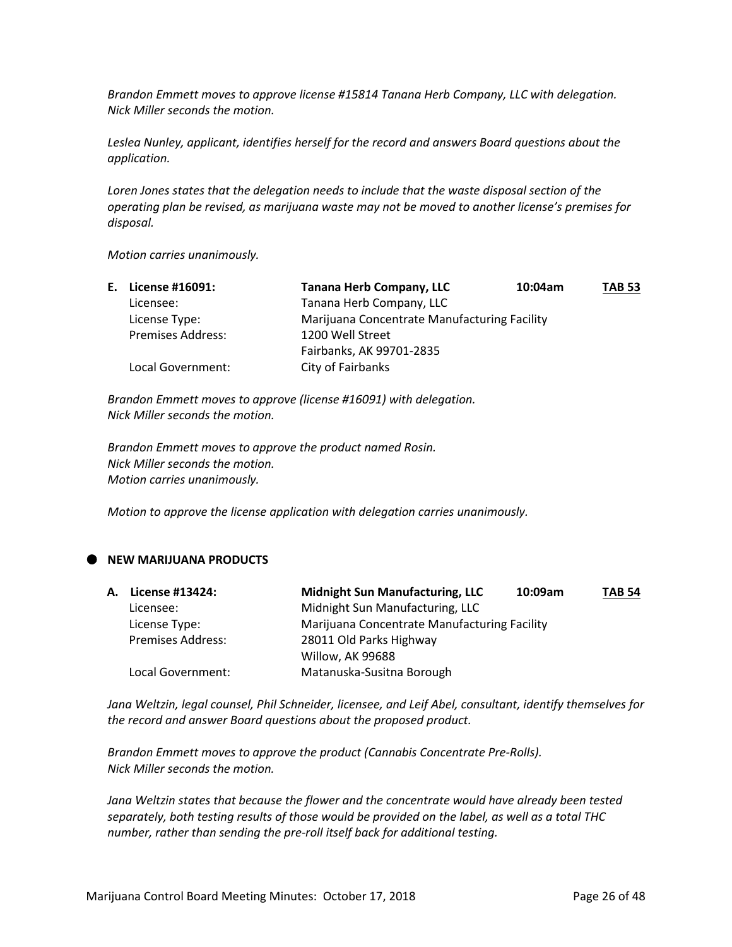*Brandon Emmett moves to approve license #15814 Tanana Herb Company, LLC with delegation. Nick Miller seconds the motion.*

*Leslea Nunley, applicant, identifies herself for the record and answers Board questions about the application.*

*Loren Jones states that the delegation needs to include that the waste disposal section of the operating plan be revised, as marijuana waste may not be moved to another license's premises for disposal.*

*Motion carries unanimously.* 

| E. License #16091:       | <b>Tanana Herb Company, LLC</b>              | 10:04am | <b>TAB 53</b> |
|--------------------------|----------------------------------------------|---------|---------------|
| Licensee:                | Tanana Herb Company, LLC                     |         |               |
| License Type:            | Marijuana Concentrate Manufacturing Facility |         |               |
| <b>Premises Address:</b> | 1200 Well Street                             |         |               |
|                          | Fairbanks, AK 99701-2835                     |         |               |
| Local Government:        | City of Fairbanks                            |         |               |

*Brandon Emmett moves to approve (license #16091) with delegation. Nick Miller seconds the motion.*

*Brandon Emmett moves to approve the product named Rosin. Nick Miller seconds the motion. Motion carries unanimously.*

*Motion to approve the license application with delegation carries unanimously.* 

## **NEW MARIJUANA PRODUCTS**

| A. License #13424:       | <b>Midnight Sun Manufacturing, LLC</b>       | 10:09am | <b>TAB 54</b> |
|--------------------------|----------------------------------------------|---------|---------------|
| Licensee:                | Midnight Sun Manufacturing, LLC              |         |               |
| License Type:            | Marijuana Concentrate Manufacturing Facility |         |               |
| <b>Premises Address:</b> | 28011 Old Parks Highway                      |         |               |
|                          | Willow, AK 99688                             |         |               |
| Local Government:        | Matanuska-Susitna Borough                    |         |               |

*Jana Weltzin, legal counsel, Phil Schneider, licensee, and Leif Abel, consultant, identify themselves for the record and answer Board questions about the proposed product.*

*Brandon Emmett moves to approve the product (Cannabis Concentrate Pre-Rolls). Nick Miller seconds the motion.*

*Jana Weltzin states that because the flower and the concentrate would have already been tested separately, both testing results of those would be provided on the label, as well as a total THC number, rather than sending the pre-roll itself back for additional testing.*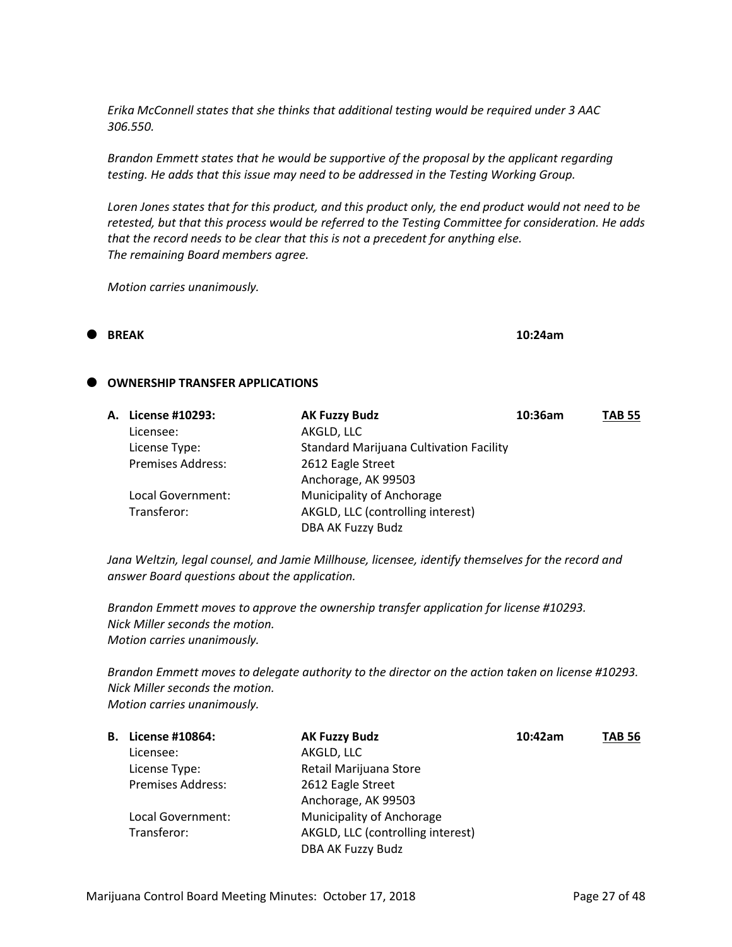*Erika McConnell states that she thinks that additional testing would be required under 3 AAC 306.550.*

*Brandon Emmett states that he would be supportive of the proposal by the applicant regarding testing. He adds that this issue may need to be addressed in the Testing Working Group.*

*Loren Jones states that for this product, and this product only, the end product would not need to be retested, but that this process would be referred to the Testing Committee for consideration. He adds that the record needs to be clear that this is not a precedent for anything else. The remaining Board members agree.*

*Motion carries unanimously.* 

#### **BREAK 10:24am**

#### **OWNERSHIP TRANSFER APPLICATIONS**

| A. License #10293:       | <b>AK Fuzzy Budz</b>                           | 10:36am | <b>TAB 55</b> |
|--------------------------|------------------------------------------------|---------|---------------|
| Licensee:                | AKGLD, LLC                                     |         |               |
| License Type:            | <b>Standard Marijuana Cultivation Facility</b> |         |               |
| <b>Premises Address:</b> | 2612 Eagle Street                              |         |               |
|                          | Anchorage, AK 99503                            |         |               |
| Local Government:        | Municipality of Anchorage                      |         |               |
| Transferor:              | AKGLD, LLC (controlling interest)              |         |               |
|                          | DBA AK Fuzzy Budz                              |         |               |

*Jana Weltzin, legal counsel, and Jamie Millhouse, licensee, identify themselves for the record and answer Board questions about the application.*

*Brandon Emmett moves to approve the ownership transfer application for license #10293. Nick Miller seconds the motion. Motion carries unanimously.*

*Brandon Emmett moves to delegate authority to the director on the action taken on license #10293. Nick Miller seconds the motion. Motion carries unanimously.*

| В. | License #10864:          | <b>AK Fuzzy Budz</b>              | 10:42am | <b>TAB 56</b> |
|----|--------------------------|-----------------------------------|---------|---------------|
|    | Licensee:                | AKGLD, LLC                        |         |               |
|    | License Type:            | Retail Marijuana Store            |         |               |
|    | <b>Premises Address:</b> | 2612 Eagle Street                 |         |               |
|    |                          | Anchorage, AK 99503               |         |               |
|    | Local Government:        | Municipality of Anchorage         |         |               |
|    | Transferor:              | AKGLD, LLC (controlling interest) |         |               |
|    |                          | DBA AK Fuzzy Budz                 |         |               |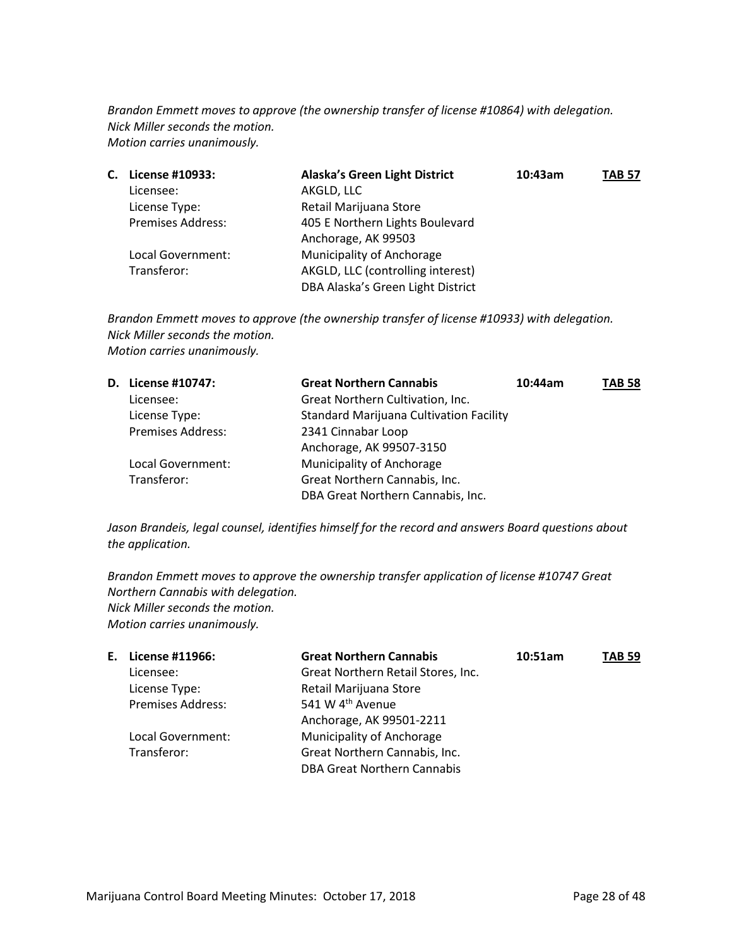*Brandon Emmett moves to approve (the ownership transfer of license #10864) with delegation. Nick Miller seconds the motion. Motion carries unanimously.*

| С. | License #10933:          | <b>Alaska's Green Light District</b> | 10:43am | TAB 57 |
|----|--------------------------|--------------------------------------|---------|--------|
|    | Licensee:                | AKGLD, LLC                           |         |        |
|    | License Type:            | Retail Marijuana Store               |         |        |
|    | <b>Premises Address:</b> | 405 E Northern Lights Boulevard      |         |        |
|    |                          | Anchorage, AK 99503                  |         |        |
|    | Local Government:        | Municipality of Anchorage            |         |        |
|    | Transferor:              | AKGLD, LLC (controlling interest)    |         |        |
|    |                          | DBA Alaska's Green Light District    |         |        |

*Brandon Emmett moves to approve (the ownership transfer of license #10933) with delegation. Nick Miller seconds the motion. Motion carries unanimously.*

| D. License #10747:       | <b>Great Northern Cannabis</b>                 | 10:44am | <b>TAB 58</b> |
|--------------------------|------------------------------------------------|---------|---------------|
| Licensee:                | Great Northern Cultivation, Inc.               |         |               |
| License Type:            | <b>Standard Marijuana Cultivation Facility</b> |         |               |
| <b>Premises Address:</b> | 2341 Cinnabar Loop                             |         |               |
|                          | Anchorage, AK 99507-3150                       |         |               |
| Local Government:        | Municipality of Anchorage                      |         |               |
| Transferor:              | Great Northern Cannabis, Inc.                  |         |               |
|                          | DBA Great Northern Cannabis, Inc.              |         |               |

*Jason Brandeis, legal counsel, identifies himself for the record and answers Board questions about the application.*

*Brandon Emmett moves to approve the ownership transfer application of license #10747 Great Northern Cannabis with delegation. Nick Miller seconds the motion. Motion carries unanimously.*

| E. License #11966:       | <b>Great Northern Cannabis</b>     | 10:51am | <b>TAB 59</b> |
|--------------------------|------------------------------------|---------|---------------|
| Licensee:                | Great Northern Retail Stores, Inc. |         |               |
| License Type:            | Retail Marijuana Store             |         |               |
| <b>Premises Address:</b> | 541 W 4 <sup>th</sup> Avenue       |         |               |
|                          | Anchorage, AK 99501-2211           |         |               |
| Local Government:        | Municipality of Anchorage          |         |               |
| Transferor:              | Great Northern Cannabis, Inc.      |         |               |
|                          | <b>DBA Great Northern Cannabis</b> |         |               |
|                          |                                    |         |               |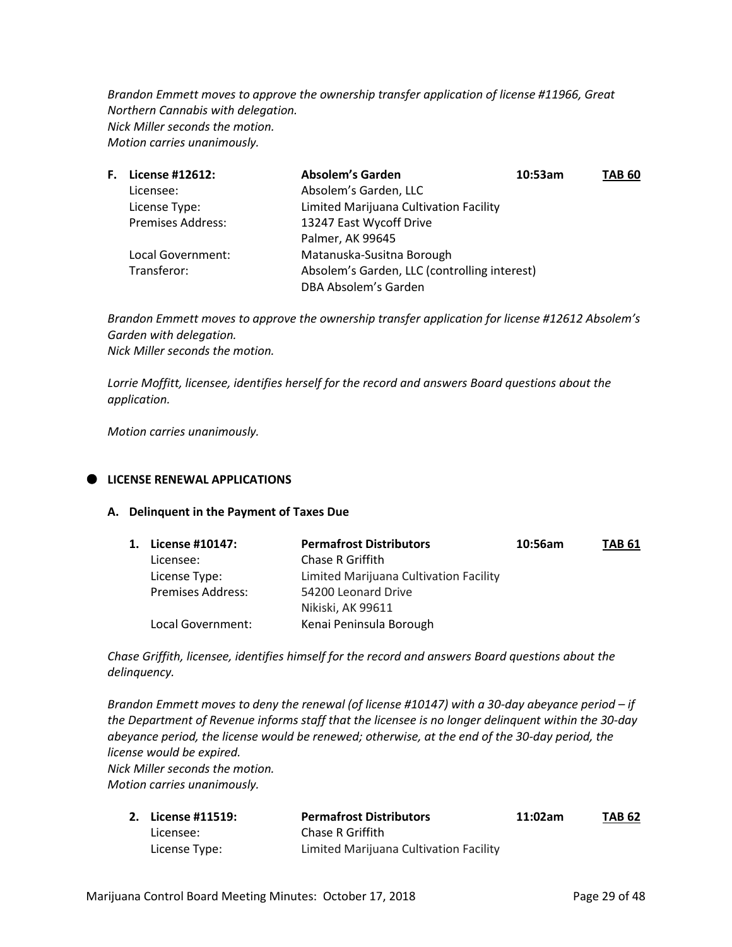*Brandon Emmett moves to approve the ownership transfer application of license #11966, Great Northern Cannabis with delegation. Nick Miller seconds the motion. Motion carries unanimously.*

| <b>F.</b> License #12612: | <b>Absolem's Garden</b>                      | 10:53am | <b>TAB 60</b> |
|---------------------------|----------------------------------------------|---------|---------------|
| Licensee:                 | Absolem's Garden, LLC                        |         |               |
| License Type:             | Limited Marijuana Cultivation Facility       |         |               |
| <b>Premises Address:</b>  | 13247 East Wycoff Drive                      |         |               |
|                           | Palmer, AK 99645                             |         |               |
| Local Government:         | Matanuska-Susitna Borough                    |         |               |
| Transferor:               | Absolem's Garden, LLC (controlling interest) |         |               |
|                           | DBA Absolem's Garden                         |         |               |

*Brandon Emmett moves to approve the ownership transfer application for license #12612 Absolem's Garden with delegation. Nick Miller seconds the motion.*

*Lorrie Moffitt, licensee, identifies herself for the record and answers Board questions about the application.*

*Motion carries unanimously.*

## **LICENSE RENEWAL APPLICATIONS**

#### **A. Delinquent in the Payment of Taxes Due**

| 1. License #10147:       | <b>Permafrost Distributors</b>         | 10:56am | <b>TAB 61</b> |
|--------------------------|----------------------------------------|---------|---------------|
| Licensee:                | Chase R Griffith                       |         |               |
| License Type:            | Limited Marijuana Cultivation Facility |         |               |
| <b>Premises Address:</b> | 54200 Leonard Drive                    |         |               |
|                          | Nikiski, AK 99611                      |         |               |
| Local Government:        | Kenai Peninsula Borough                |         |               |

*Chase Griffith, licensee, identifies himself for the record and answers Board questions about the delinquency.*

*Brandon Emmett moves to deny the renewal (of license #10147) with a 30-day abeyance period – if the Department of Revenue informs staff that the licensee is no longer delinquent within the 30-day abeyance period, the license would be renewed; otherwise, at the end of the 30-day period, the license would be expired. Nick Miller seconds the motion. Motion carries unanimously.*

| 2. License #11519: | <b>Permafrost Distributors</b>         | 11:02am | <b>TAB 62</b> |
|--------------------|----------------------------------------|---------|---------------|
| Licensee:          | Chase R Griffith                       |         |               |
| License Type:      | Limited Marijuana Cultivation Facility |         |               |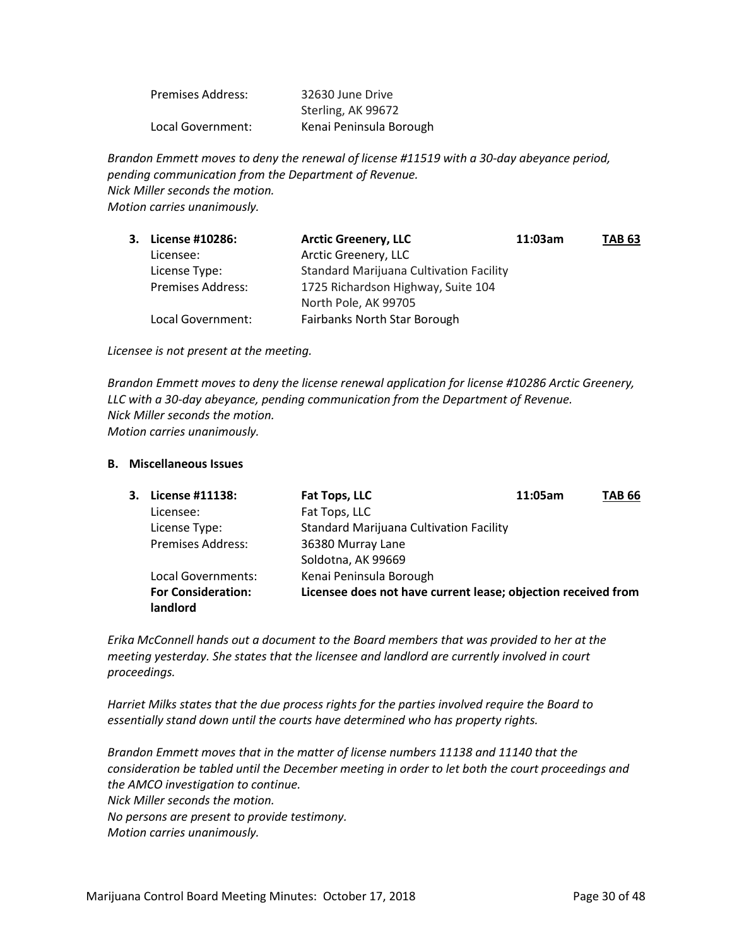| <b>Premises Address:</b> | 32630 June Drive        |
|--------------------------|-------------------------|
|                          | Sterling, AK 99672      |
| Local Government:        | Kenai Peninsula Borough |

*Brandon Emmett moves to deny the renewal of license #11519 with a 30-day abeyance period, pending communication from the Department of Revenue. Nick Miller seconds the motion. Motion carries unanimously.*

| 3. License #10286:       | <b>Arctic Greenery, LLC</b>                    | 11:03am | <b>TAB 63</b> |
|--------------------------|------------------------------------------------|---------|---------------|
| Licensee:                | Arctic Greenery, LLC                           |         |               |
| License Type:            | <b>Standard Marijuana Cultivation Facility</b> |         |               |
| <b>Premises Address:</b> | 1725 Richardson Highway, Suite 104             |         |               |
|                          | North Pole, AK 99705                           |         |               |
| Local Government:        | <b>Fairbanks North Star Borough</b>            |         |               |

*Licensee is not present at the meeting.*

*Brandon Emmett moves to deny the license renewal application for license #10286 Arctic Greenery, LLC with a 30-day abeyance, pending communication from the Department of Revenue. Nick Miller seconds the motion. Motion carries unanimously.*

#### **B. Miscellaneous Issues**

| 3. License #11138:        | Fat Tops, LLC                                                 | 11:05am | TAB 66 |
|---------------------------|---------------------------------------------------------------|---------|--------|
| Licensee:                 | Fat Tops, LLC                                                 |         |        |
| License Type:             | <b>Standard Marijuana Cultivation Facility</b>                |         |        |
| <b>Premises Address:</b>  | 36380 Murray Lane                                             |         |        |
|                           | Soldotna, AK 99669                                            |         |        |
| Local Governments:        | Kenai Peninsula Borough                                       |         |        |
| <b>For Consideration:</b> | Licensee does not have current lease; objection received from |         |        |
| landlord                  |                                                               |         |        |

*Erika McConnell hands out a document to the Board members that was provided to her at the meeting yesterday. She states that the licensee and landlord are currently involved in court proceedings.* 

*Harriet Milks states that the due process rights for the parties involved require the Board to essentially stand down until the courts have determined who has property rights.*

*Brandon Emmett moves that in the matter of license numbers 11138 and 11140 that the consideration be tabled until the December meeting in order to let both the court proceedings and the AMCO investigation to continue. Nick Miller seconds the motion. No persons are present to provide testimony. Motion carries unanimously.*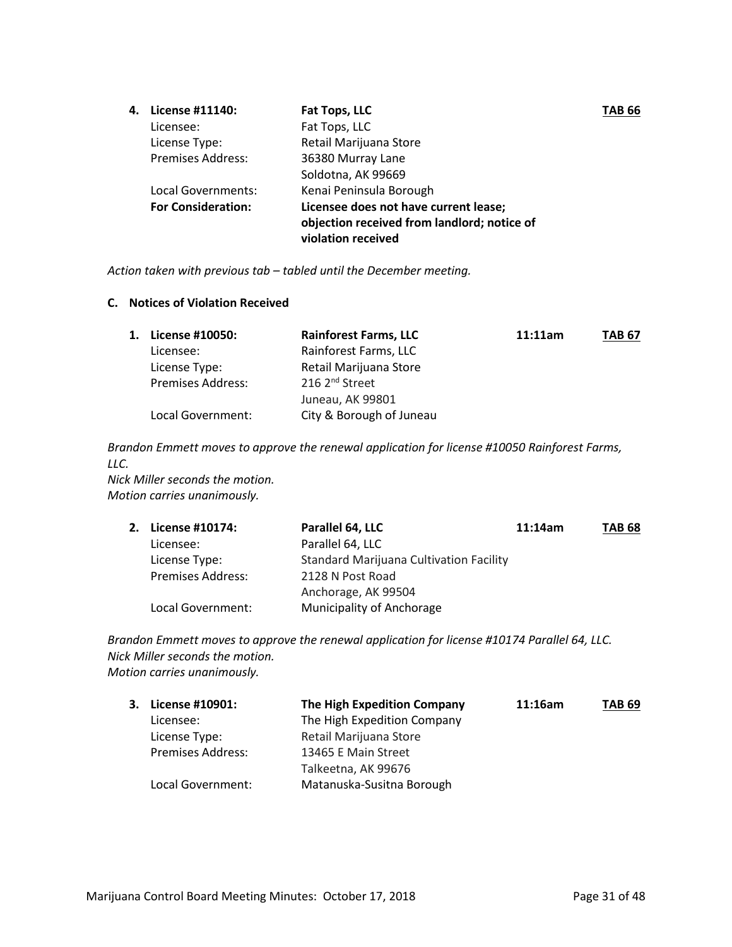| 4. | License #11140:           | Fat Tops, LLC                               | <b>TAB 66</b> |
|----|---------------------------|---------------------------------------------|---------------|
|    | Licensee:                 | Fat Tops, LLC                               |               |
|    | License Type:             | Retail Marijuana Store                      |               |
|    | <b>Premises Address:</b>  | 36380 Murray Lane                           |               |
|    |                           | Soldotna, AK 99669                          |               |
|    | Local Governments:        | Kenai Peninsula Borough                     |               |
|    | <b>For Consideration:</b> | Licensee does not have current lease;       |               |
|    |                           | objection received from landlord; notice of |               |
|    |                           | violation received                          |               |

*Action taken with previous tab – tabled until the December meeting.*

#### **C. Notices of Violation Received**

| 1. License #10050:       | <b>Rainforest Farms, LLC</b> | 11:11am | <b>TAB 67</b> |
|--------------------------|------------------------------|---------|---------------|
| Licensee:                | Rainforest Farms, LLC        |         |               |
| License Type:            | Retail Marijuana Store       |         |               |
| <b>Premises Address:</b> | 216 2 <sup>nd</sup> Street   |         |               |
|                          | Juneau, AK 99801             |         |               |
| Local Government:        | City & Borough of Juneau     |         |               |

*Brandon Emmett moves to approve the renewal application for license #10050 Rainforest Farms, LLC.*

*Nick Miller seconds the motion. Motion carries unanimously.*

| 2. License #10174:       | Parallel 64, LLC                               | 11:14am | <b>TAB 68</b> |
|--------------------------|------------------------------------------------|---------|---------------|
| Licensee:                | Parallel 64, LLC                               |         |               |
| License Type:            | <b>Standard Marijuana Cultivation Facility</b> |         |               |
| <b>Premises Address:</b> | 2128 N Post Road                               |         |               |
|                          | Anchorage, AK 99504                            |         |               |
| Local Government:        | Municipality of Anchorage                      |         |               |

*Brandon Emmett moves to approve the renewal application for license #10174 Parallel 64, LLC. Nick Miller seconds the motion. Motion carries unanimously.*

| 3. License #10901:       | The High Expedition Company | 11:16am | <b>TAB 69</b> |
|--------------------------|-----------------------------|---------|---------------|
| Licensee:                | The High Expedition Company |         |               |
| License Type:            | Retail Marijuana Store      |         |               |
| <b>Premises Address:</b> | 13465 E Main Street         |         |               |
|                          | Talkeetna, AK 99676         |         |               |
| Local Government:        | Matanuska-Susitna Borough   |         |               |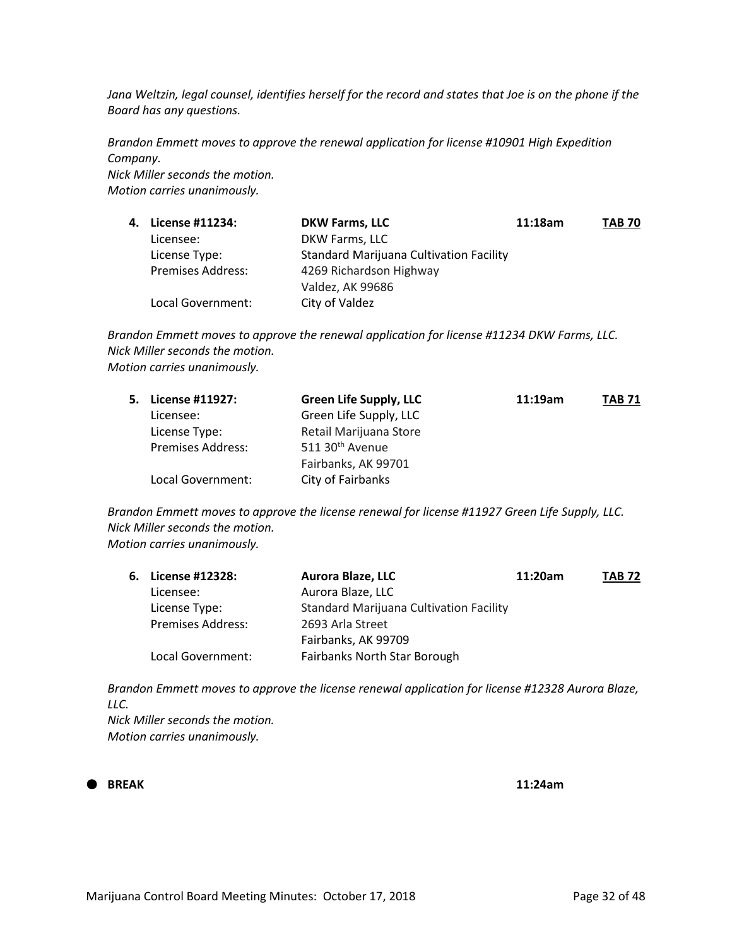*Jana Weltzin, legal counsel, identifies herself for the record and states that Joe is on the phone if the Board has any questions.*

*Brandon Emmett moves to approve the renewal application for license #10901 High Expedition Company. Nick Miller seconds the motion. Motion carries unanimously.*

| 4. | License #11234:          | <b>DKW Farms, LLC</b>                          | 11:18am | <b>TAB 70</b> |
|----|--------------------------|------------------------------------------------|---------|---------------|
|    | Licensee:                | DKW Farms, LLC                                 |         |               |
|    | License Type:            | <b>Standard Marijuana Cultivation Facility</b> |         |               |
|    | <b>Premises Address:</b> | 4269 Richardson Highway                        |         |               |
|    |                          | Valdez, AK 99686                               |         |               |
|    | Local Government:        | City of Valdez                                 |         |               |

*Brandon Emmett moves to approve the renewal application for license #11234 DKW Farms, LLC. Nick Miller seconds the motion. Motion carries unanimously.*

| 5. | License #11927:          | <b>Green Life Supply, LLC</b> | 11:19am | <b>TAB 71</b> |
|----|--------------------------|-------------------------------|---------|---------------|
|    | Licensee:                | Green Life Supply, LLC        |         |               |
|    | License Type:            | Retail Marijuana Store        |         |               |
|    | <b>Premises Address:</b> | 511 30 <sup>th</sup> Avenue   |         |               |
|    |                          | Fairbanks, AK 99701           |         |               |
|    | Local Government:        | City of Fairbanks             |         |               |
|    |                          |                               |         |               |

*Brandon Emmett moves to approve the license renewal for license #11927 Green Life Supply, LLC. Nick Miller seconds the motion. Motion carries unanimously.*

| 6. License #12328:       | <b>Aurora Blaze, LLC</b>                       | 11:20am | <b>TAB 72</b> |
|--------------------------|------------------------------------------------|---------|---------------|
| Licensee:                | Aurora Blaze, LLC                              |         |               |
| License Type:            | <b>Standard Marijuana Cultivation Facility</b> |         |               |
| <b>Premises Address:</b> | 2693 Arla Street                               |         |               |
|                          | Fairbanks, AK 99709                            |         |               |
| Local Government:        | Fairbanks North Star Borough                   |         |               |

*Brandon Emmett moves to approve the license renewal application for license #12328 Aurora Blaze, LLC. Nick Miller seconds the motion.*

*Motion carries unanimously.*

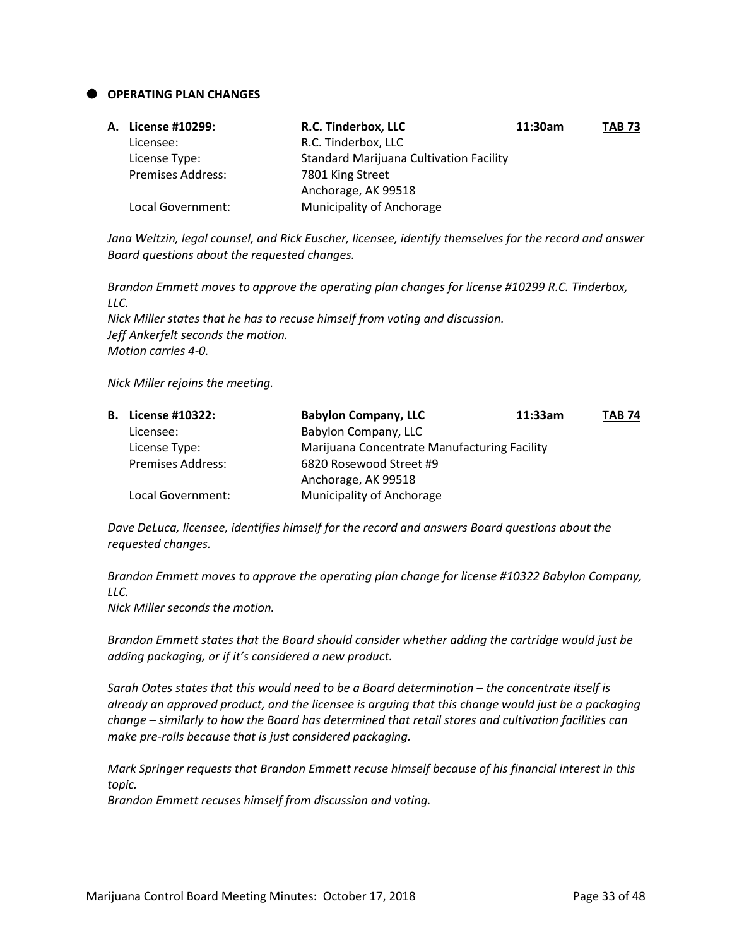#### **OPERATING PLAN CHANGES**

| A. License #10299:       | R.C. Tinderbox, LLC                            | 11:30am | <b>TAB 73</b> |
|--------------------------|------------------------------------------------|---------|---------------|
| Licensee:                | R.C. Tinderbox, LLC                            |         |               |
| License Type:            | <b>Standard Marijuana Cultivation Facility</b> |         |               |
| <b>Premises Address:</b> | 7801 King Street                               |         |               |
|                          | Anchorage, AK 99518                            |         |               |
| Local Government:        | Municipality of Anchorage                      |         |               |

*Jana Weltzin, legal counsel, and Rick Euscher, licensee, identify themselves for the record and answer Board questions about the requested changes.*

*Brandon Emmett moves to approve the operating plan changes for license #10299 R.C. Tinderbox, LLC. Nick Miller states that he has to recuse himself from voting and discussion. Jeff Ankerfelt seconds the motion. Motion carries 4-0.*

*Nick Miller rejoins the meeting.*

| <b>B.</b> License #10322: | <b>Babylon Company, LLC</b>                  | 11:33am | <b>TAB 74</b> |
|---------------------------|----------------------------------------------|---------|---------------|
| Licensee:                 | Babylon Company, LLC                         |         |               |
| License Type:             | Marijuana Concentrate Manufacturing Facility |         |               |
| <b>Premises Address:</b>  | 6820 Rosewood Street #9                      |         |               |
|                           | Anchorage, AK 99518                          |         |               |
| Local Government:         | Municipality of Anchorage                    |         |               |

*Dave DeLuca, licensee, identifies himself for the record and answers Board questions about the requested changes.*

*Brandon Emmett moves to approve the operating plan change for license #10322 Babylon Company, LLC.*

*Nick Miller seconds the motion.*

*Brandon Emmett states that the Board should consider whether adding the cartridge would just be adding packaging, or if it's considered a new product.*

*Sarah Oates states that this would need to be a Board determination – the concentrate itself is already an approved product, and the licensee is arguing that this change would just be a packaging change – similarly to how the Board has determined that retail stores and cultivation facilities can make pre-rolls because that is just considered packaging.*

*Mark Springer requests that Brandon Emmett recuse himself because of his financial interest in this topic.*

*Brandon Emmett recuses himself from discussion and voting.*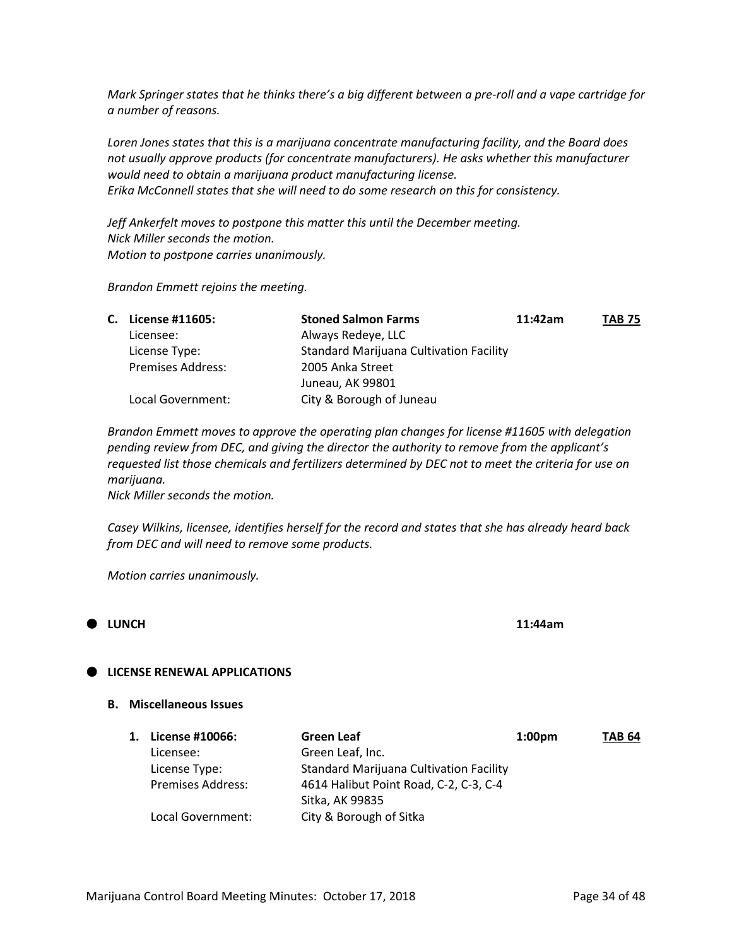*Mark Springer states that he thinks there's a big different between a pre-roll and a vape cartridge for a number of reasons.*

*Loren Jones states that this is a marijuana concentrate manufacturing facility, and the Board does not usually approve products (for concentrate manufacturers). He asks whether this manufacturer would need to obtain a marijuana product manufacturing license. Erika McConnell states that she will need to do some research on this for consistency.*

*Jeff Ankerfelt moves to postpone this matter this until the December meeting. Nick Miller seconds the motion. Motion to postpone carries unanimously.*

*Brandon Emmett rejoins the meeting.*

| C. License #11605:       | <b>Stoned Salmon Farms</b>                     | 11:42am | <b>TAB 75</b> |
|--------------------------|------------------------------------------------|---------|---------------|
| Licensee:                | Always Redeye, LLC                             |         |               |
| License Type:            | <b>Standard Marijuana Cultivation Facility</b> |         |               |
| <b>Premises Address:</b> | 2005 Anka Street                               |         |               |
|                          | Juneau, AK 99801                               |         |               |
| Local Government:        | City & Borough of Juneau                       |         |               |

*Brandon Emmett moves to approve the operating plan changes for license #11605 with delegation pending review from DEC, and giving the director the authority to remove from the applicant's requested list those chemicals and fertilizers determined by DEC not to meet the criteria for use on marijuana.*

*Nick Miller seconds the motion.*

*Casey Wilkins, licensee, identifies herself for the record and states that she has already heard back from DEC and will need to remove some products.*

*Motion carries unanimously.*



#### **LICENSE RENEWAL APPLICATIONS**

#### **B. Miscellaneous Issues**

| 1. | License #10066:          | Green Leaf                                     | 1:00 <sub>pm</sub> | <b>TAB 64</b> |
|----|--------------------------|------------------------------------------------|--------------------|---------------|
|    | Licensee:                | Green Leaf, Inc.                               |                    |               |
|    | License Type:            | <b>Standard Marijuana Cultivation Facility</b> |                    |               |
|    | <b>Premises Address:</b> | 4614 Halibut Point Road, C-2, C-3, C-4         |                    |               |
|    |                          | Sitka, AK 99835                                |                    |               |
|    | Local Government:        | City & Borough of Sitka                        |                    |               |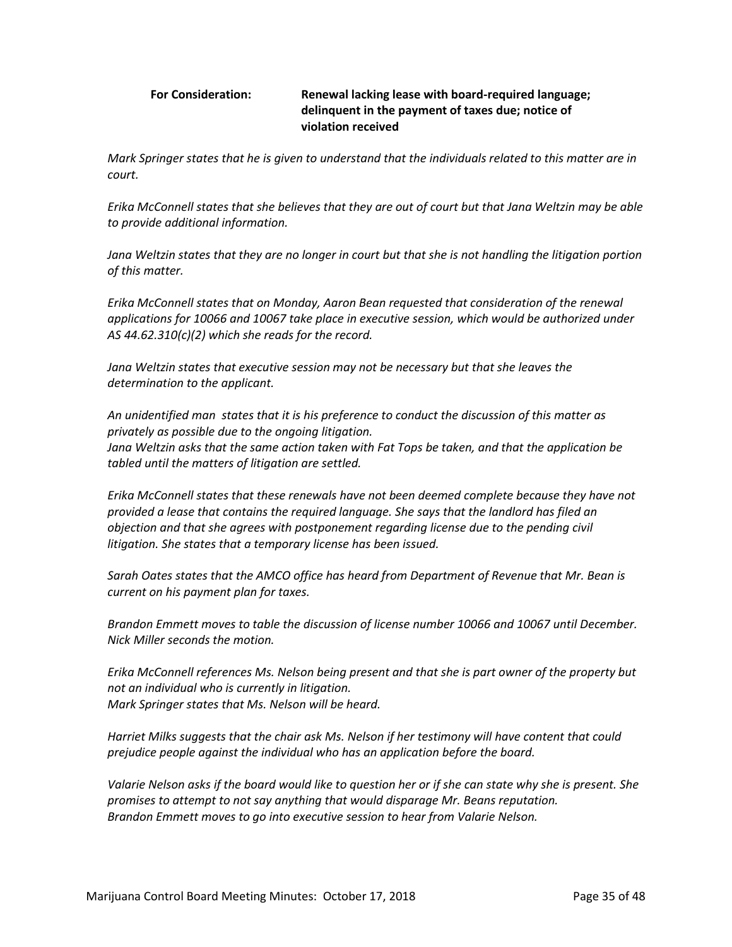#### **For Consideration: Renewal lacking lease with board-required language; delinquent in the payment of taxes due; notice of violation received**

*Mark Springer states that he is given to understand that the individuals related to this matter are in court.* 

*Erika McConnell states that she believes that they are out of court but that Jana Weltzin may be able to provide additional information.*

*Jana Weltzin states that they are no longer in court but that she is not handling the litigation portion of this matter.*

*Erika McConnell states that on Monday, Aaron Bean requested that consideration of the renewal applications for 10066 and 10067 take place in executive session, which would be authorized under AS 44.62.310(c)(2) which she reads for the record.*

*Jana Weltzin states that executive session may not be necessary but that she leaves the determination to the applicant.*

*An unidentified man states that it is his preference to conduct the discussion of this matter as privately as possible due to the ongoing litigation. Jana Weltzin asks that the same action taken with Fat Tops be taken, and that the application be tabled until the matters of litigation are settled.* 

*Erika McConnell states that these renewals have not been deemed complete because they have not provided a lease that contains the required language. She says that the landlord has filed an objection and that she agrees with postponement regarding license due to the pending civil litigation. She states that a temporary license has been issued.* 

*Sarah Oates states that the AMCO office has heard from Department of Revenue that Mr. Bean is current on his payment plan for taxes.* 

*Brandon Emmett moves to table the discussion of license number 10066 and 10067 until December. Nick Miller seconds the motion.*

*Erika McConnell references Ms. Nelson being present and that she is part owner of the property but not an individual who is currently in litigation. Mark Springer states that Ms. Nelson will be heard.* 

*Harriet Milks suggests that the chair ask Ms. Nelson if her testimony will have content that could prejudice people against the individual who has an application before the board.* 

*Valarie Nelson asks if the board would like to question her or if she can state why she is present. She promises to attempt to not say anything that would disparage Mr. Beans reputation. Brandon Emmett moves to go into executive session to hear from Valarie Nelson.*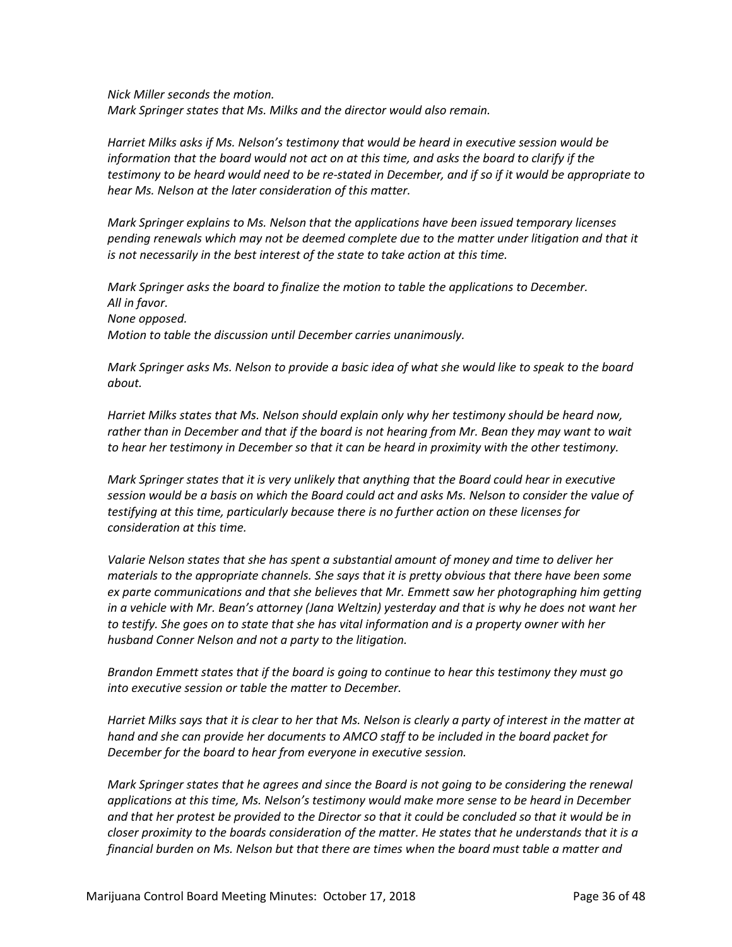*Nick Miller seconds the motion. Mark Springer states that Ms. Milks and the director would also remain.*

*Harriet Milks asks if Ms. Nelson's testimony that would be heard in executive session would be information that the board would not act on at this time, and asks the board to clarify if the testimony to be heard would need to be re-stated in December, and if so if it would be appropriate to hear Ms. Nelson at the later consideration of this matter.* 

*Mark Springer explains to Ms. Nelson that the applications have been issued temporary licenses pending renewals which may not be deemed complete due to the matter under litigation and that it is not necessarily in the best interest of the state to take action at this time.* 

*Mark Springer asks the board to finalize the motion to table the applications to December. All in favor. None opposed. Motion to table the discussion until December carries unanimously.*

*Mark Springer asks Ms. Nelson to provide a basic idea of what she would like to speak to the board about.* 

*Harriet Milks states that Ms. Nelson should explain only why her testimony should be heard now, rather than in December and that if the board is not hearing from Mr. Bean they may want to wait to hear her testimony in December so that it can be heard in proximity with the other testimony.*

*Mark Springer states that it is very unlikely that anything that the Board could hear in executive session would be a basis on which the Board could act and asks Ms. Nelson to consider the value of testifying at this time, particularly because there is no further action on these licenses for consideration at this time.*

*Valarie Nelson states that she has spent a substantial amount of money and time to deliver her materials to the appropriate channels. She says that it is pretty obvious that there have been some*  ex parte communications and that she believes that Mr. Emmett saw her photographing him getting *in a vehicle with Mr. Bean's attorney (Jana Weltzin) yesterday and that is why he does not want her to testify. She goes on to state that she has vital information and is a property owner with her husband Conner Nelson and not a party to the litigation.* 

*Brandon Emmett states that if the board is going to continue to hear this testimony they must go into executive session or table the matter to December.* 

*Harriet Milks says that it is clear to her that Ms. Nelson is clearly a party of interest in the matter at*  hand and she can provide her documents to AMCO staff to be included in the board packet for *December for the board to hear from everyone in executive session.* 

*Mark Springer states that he agrees and since the Board is not going to be considering the renewal applications at this time, Ms. Nelson's testimony would make more sense to be heard in December and that her protest be provided to the Director so that it could be concluded so that it would be in closer proximity to the boards consideration of the matter. He states that he understands that it is a financial burden on Ms. Nelson but that there are times when the board must table a matter and*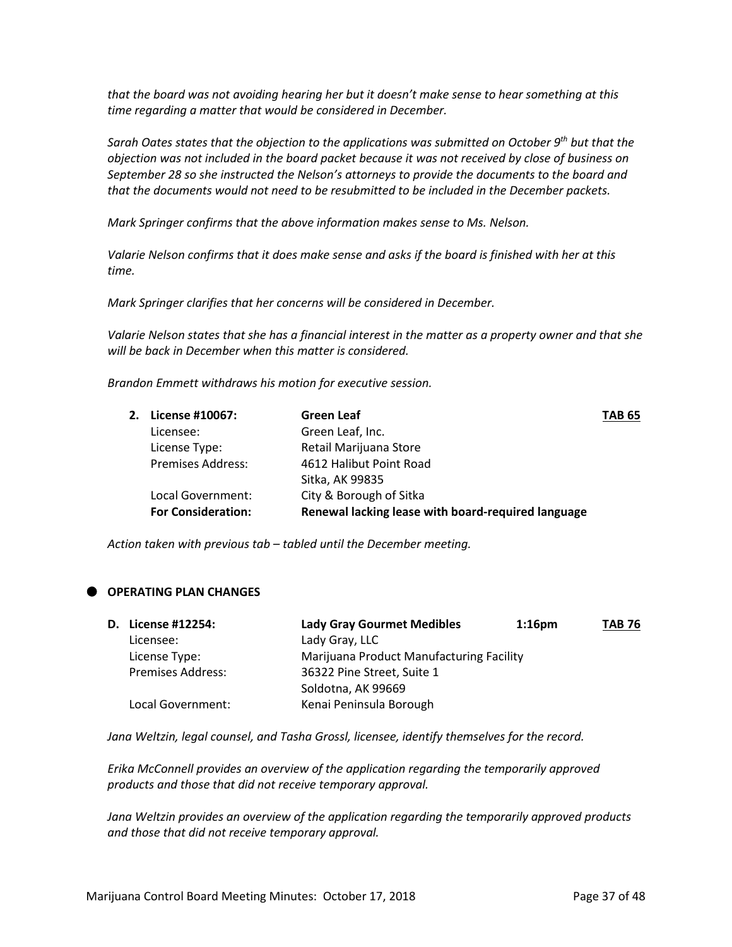*that the board was not avoiding hearing her but it doesn't make sense to hear something at this time regarding a matter that would be considered in December.* 

*Sarah Oates states that the objection to the applications was submitted on October 9th but that the objection was not included in the board packet because it was not received by close of business on September 28 so she instructed the Nelson's attorneys to provide the documents to the board and that the documents would not need to be resubmitted to be included in the December packets.* 

*Mark Springer confirms that the above information makes sense to Ms. Nelson.* 

*Valarie Nelson confirms that it does make sense and asks if the board is finished with her at this time.* 

*Mark Springer clarifies that her concerns will be considered in December.* 

*Valarie Nelson states that she has a financial interest in the matter as a property owner and that she will be back in December when this matter is considered.* 

*Brandon Emmett withdraws his motion for executive session.* 

| 2. License #10067:        | <b>Green Leaf</b>                                  | <b>TAB 65</b> |
|---------------------------|----------------------------------------------------|---------------|
| Licensee:                 | Green Leaf, Inc.                                   |               |
| License Type:             | Retail Marijuana Store                             |               |
| <b>Premises Address:</b>  | 4612 Halibut Point Road                            |               |
|                           | Sitka, AK 99835                                    |               |
| Local Government:         | City & Borough of Sitka                            |               |
| <b>For Consideration:</b> | Renewal lacking lease with board-required language |               |

*Action taken with previous tab – tabled until the December meeting.*

## **OPERATING PLAN CHANGES**

| <b>D.</b> License #12254: | <b>Lady Gray Gourmet Medibles</b>        | $1:16$ pm | <b>TAB 76</b> |
|---------------------------|------------------------------------------|-----------|---------------|
| Licensee:                 | Lady Gray, LLC                           |           |               |
| License Type:             | Marijuana Product Manufacturing Facility |           |               |
| <b>Premises Address:</b>  | 36322 Pine Street, Suite 1               |           |               |
|                           | Soldotna, AK 99669                       |           |               |
| Local Government:         | Kenai Peninsula Borough                  |           |               |

*Jana Weltzin, legal counsel, and Tasha Grossl, licensee, identify themselves for the record.* 

*Erika McConnell provides an overview of the application regarding the temporarily approved products and those that did not receive temporary approval.* 

*Jana Weltzin provides an overview of the application regarding the temporarily approved products and those that did not receive temporary approval.*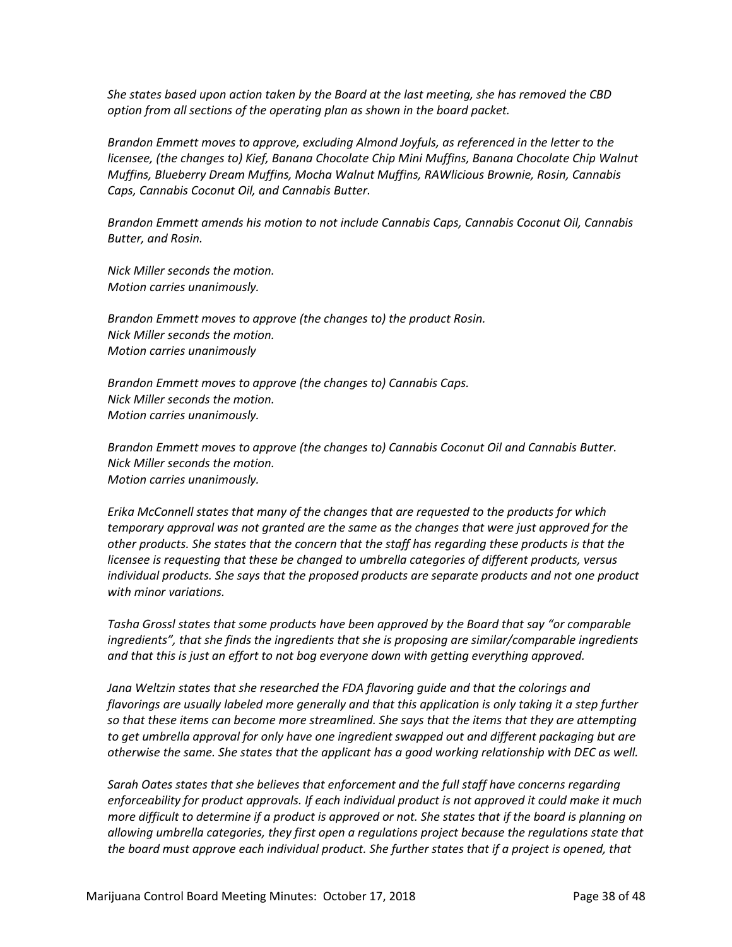*She states based upon action taken by the Board at the last meeting, she has removed the CBD option from all sections of the operating plan as shown in the board packet.* 

*Brandon Emmett moves to approve, excluding Almond Joyfuls, as referenced in the letter to the licensee, (the changes to) Kief, Banana Chocolate Chip Mini Muffins, Banana Chocolate Chip Walnut Muffins, Blueberry Dream Muffins, Mocha Walnut Muffins, RAWlicious Brownie, Rosin, Cannabis Caps, Cannabis Coconut Oil, and Cannabis Butter.*

*Brandon Emmett amends his motion to not include Cannabis Caps, Cannabis Coconut Oil, Cannabis Butter, and Rosin.*

*Nick Miller seconds the motion. Motion carries unanimously.*

*Brandon Emmett moves to approve (the changes to) the product Rosin. Nick Miller seconds the motion. Motion carries unanimously*

*Brandon Emmett moves to approve (the changes to) Cannabis Caps. Nick Miller seconds the motion. Motion carries unanimously.*

*Brandon Emmett moves to approve (the changes to) Cannabis Coconut Oil and Cannabis Butter. Nick Miller seconds the motion. Motion carries unanimously.*

*Erika McConnell states that many of the changes that are requested to the products for which temporary approval was not granted are the same as the changes that were just approved for the other products. She states that the concern that the staff has regarding these products is that the licensee is requesting that these be changed to umbrella categories of different products, versus individual products. She says that the proposed products are separate products and not one product with minor variations.* 

*Tasha Grossl states that some products have been approved by the Board that say "or comparable ingredients", that she finds the ingredients that she is proposing are similar/comparable ingredients and that this is just an effort to not bog everyone down with getting everything approved.*

*Jana Weltzin states that she researched the FDA flavoring guide and that the colorings and flavorings are usually labeled more generally and that this application is only taking it a step further so that these items can become more streamlined. She says that the items that they are attempting to get umbrella approval for only have one ingredient swapped out and different packaging but are otherwise the same. She states that the applicant has a good working relationship with DEC as well.* 

*Sarah Oates states that she believes that enforcement and the full staff have concerns regarding enforceability for product approvals. If each individual product is not approved it could make it much more difficult to determine if a product is approved or not. She states that if the board is planning on allowing umbrella categories, they first open a regulations project because the regulations state that the board must approve each individual product. She further states that if a project is opened, that*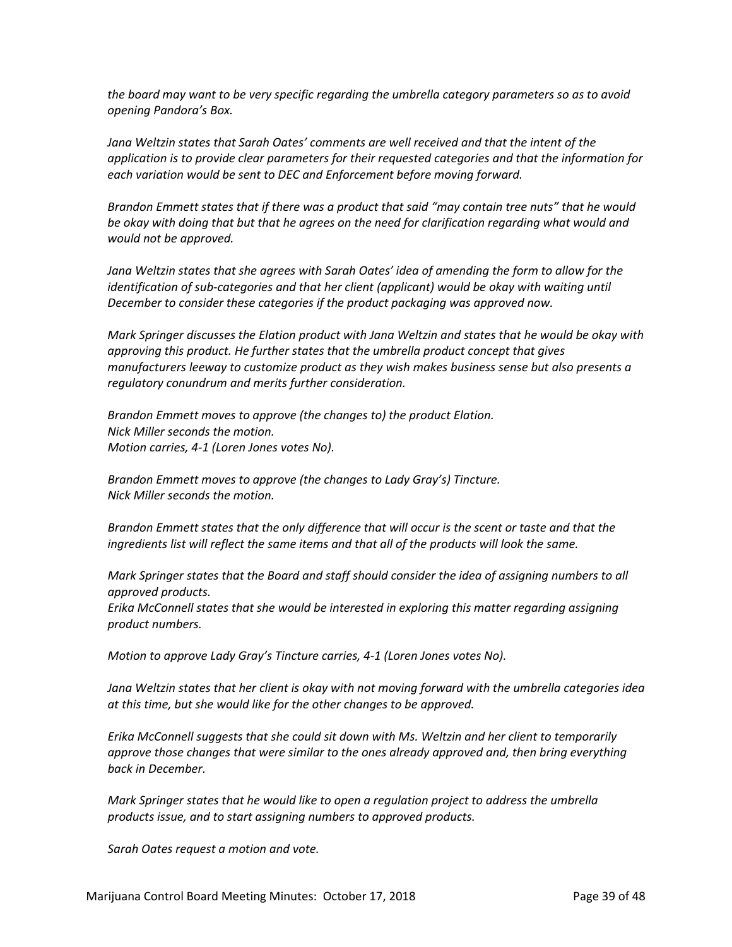*the board may want to be very specific regarding the umbrella category parameters so as to avoid opening Pandora's Box.* 

Jana Weltzin states that Sarah Oates' comments are well received and that the intent of the *application is to provide clear parameters for their requested categories and that the information for each variation would be sent to DEC and Enforcement before moving forward.* 

*Brandon Emmett states that if there was a product that said "may contain tree nuts" that he would be okay with doing that but that he agrees on the need for clarification regarding what would and would not be approved.*

*Jana Weltzin states that she agrees with Sarah Oates' idea of amending the form to allow for the identification of sub-categories and that her client (applicant) would be okay with waiting until December to consider these categories if the product packaging was approved now.* 

*Mark Springer discusses the Elation product with Jana Weltzin and states that he would be okay with approving this product. He further states that the umbrella product concept that gives manufacturers leeway to customize product as they wish makes business sense but also presents a regulatory conundrum and merits further consideration.*

*Brandon Emmett moves to approve (the changes to) the product Elation. Nick Miller seconds the motion. Motion carries, 4-1 (Loren Jones votes No).*

*Brandon Emmett moves to approve (the changes to Lady Gray's) Tincture. Nick Miller seconds the motion.*

*Brandon Emmett states that the only difference that will occur is the scent or taste and that the ingredients list will reflect the same items and that all of the products will look the same.* 

*Mark Springer states that the Board and staff should consider the idea of assigning numbers to all approved products.*

*Erika McConnell states that she would be interested in exploring this matter regarding assigning product numbers.* 

*Motion to approve Lady Gray's Tincture carries, 4-1 (Loren Jones votes No).*

*Jana Weltzin states that her client is okay with not moving forward with the umbrella categories idea at this time, but she would like for the other changes to be approved.*

*Erika McConnell suggests that she could sit down with Ms. Weltzin and her client to temporarily approve those changes that were similar to the ones already approved and, then bring everything back in December.*

*Mark Springer states that he would like to open a regulation project to address the umbrella products issue, and to start assigning numbers to approved products.*

*Sarah Oates request a motion and vote.*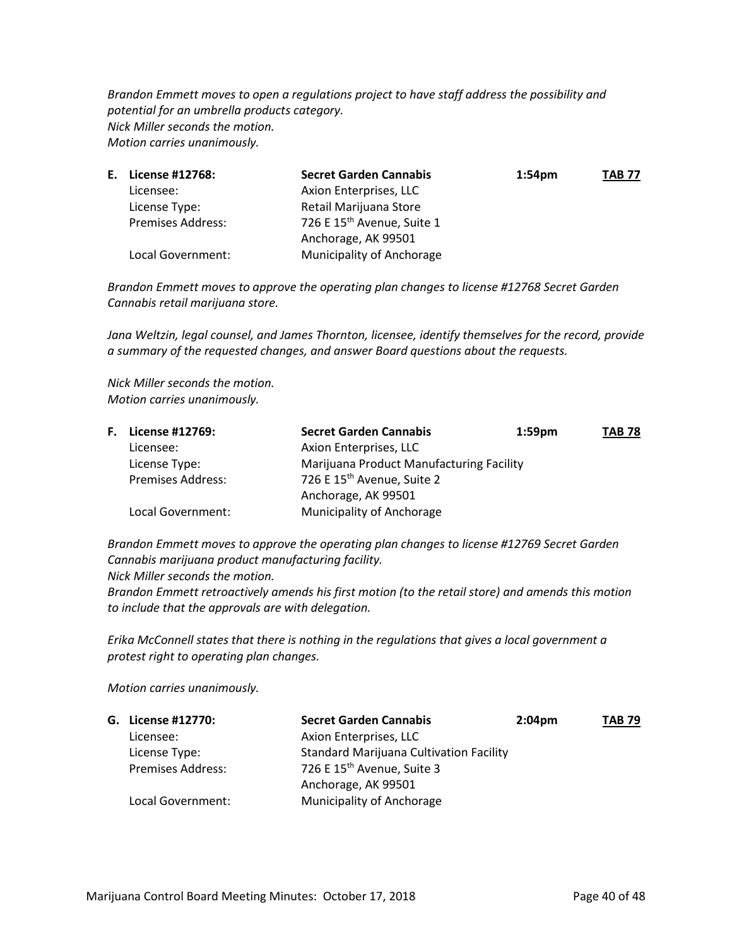*Brandon Emmett moves to open a regulations project to have staff address the possibility and potential for an umbrella products category. Nick Miller seconds the motion. Motion carries unanimously.*

| Е. | License #12768:          | <b>Secret Garden Cannabis</b>          | 1:54 <sub>pm</sub> | TAB 77 |
|----|--------------------------|----------------------------------------|--------------------|--------|
|    | Licensee:                | Axion Enterprises, LLC                 |                    |        |
|    | License Type:            | Retail Marijuana Store                 |                    |        |
|    | <b>Premises Address:</b> | 726 E 15 <sup>th</sup> Avenue, Suite 1 |                    |        |
|    |                          | Anchorage, AK 99501                    |                    |        |
|    | Local Government:        | Municipality of Anchorage              |                    |        |

*Brandon Emmett moves to approve the operating plan changes to license #12768 Secret Garden Cannabis retail marijuana store.*

*Jana Weltzin, legal counsel, and James Thornton, licensee, identify themselves for the record, provide a summary of the requested changes, and answer Board questions about the requests.*

*Nick Miller seconds the motion. Motion carries unanimously.*

| <b>F.</b> License #12769: | <b>Secret Garden Cannabis</b>            | $1:59$ pm | <b>TAB 78</b> |
|---------------------------|------------------------------------------|-----------|---------------|
| Licensee:                 | Axion Enterprises, LLC                   |           |               |
| License Type:             | Marijuana Product Manufacturing Facility |           |               |
| <b>Premises Address:</b>  | 726 E 15 <sup>th</sup> Avenue, Suite 2   |           |               |
|                           | Anchorage, AK 99501                      |           |               |
| Local Government:         | Municipality of Anchorage                |           |               |

*Brandon Emmett moves to approve the operating plan changes to license #12769 Secret Garden Cannabis marijuana product manufacturing facility.*

*Nick Miller seconds the motion.*

*Brandon Emmett retroactively amends his first motion (to the retail store) and amends this motion to include that the approvals are with delegation.*

*Erika McConnell states that there is nothing in the regulations that gives a local government a protest right to operating plan changes.*

*Motion carries unanimously.*

| G. License #12770:       | <b>Secret Garden Cannabis</b>                  | $2:04 \text{pm}$ | <b>TAB 79</b> |
|--------------------------|------------------------------------------------|------------------|---------------|
| Licensee:                | Axion Enterprises, LLC                         |                  |               |
| License Type:            | <b>Standard Marijuana Cultivation Facility</b> |                  |               |
| <b>Premises Address:</b> | 726 E 15 <sup>th</sup> Avenue, Suite 3         |                  |               |
|                          | Anchorage, AK 99501                            |                  |               |
| Local Government:        | Municipality of Anchorage                      |                  |               |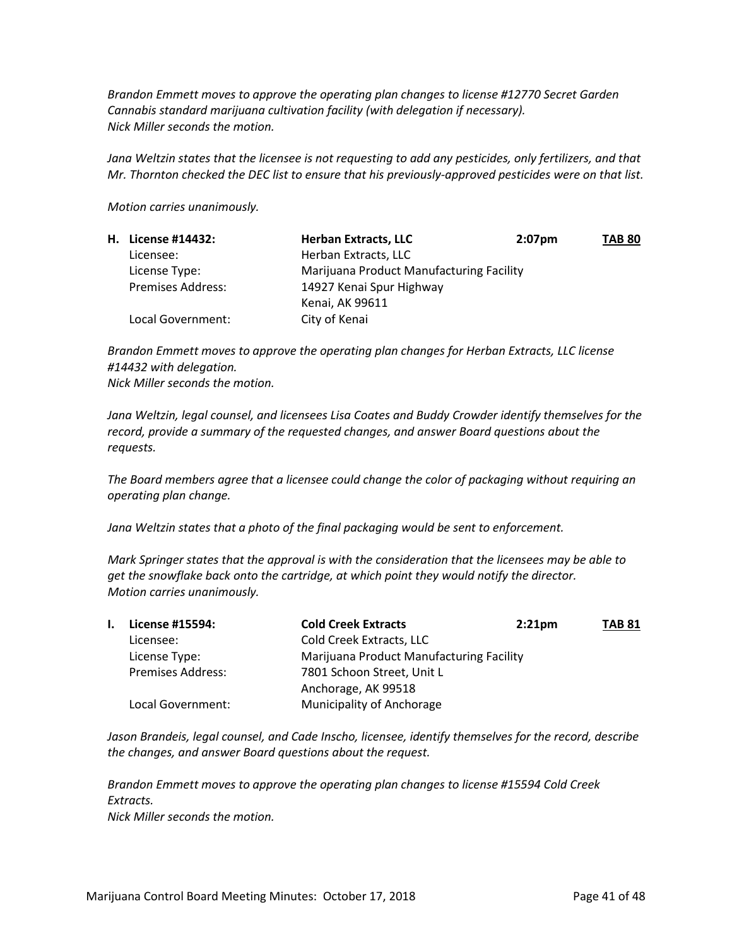*Brandon Emmett moves to approve the operating plan changes to license #12770 Secret Garden Cannabis standard marijuana cultivation facility (with delegation if necessary). Nick Miller seconds the motion.*

*Jana Weltzin states that the licensee is not requesting to add any pesticides, only fertilizers, and that Mr. Thornton checked the DEC list to ensure that his previously-approved pesticides were on that list.*

*Motion carries unanimously.*

| H. License #14432:       | <b>Herban Extracts, LLC</b>              | $2:07$ pm | <b>TAB 80</b> |
|--------------------------|------------------------------------------|-----------|---------------|
| Licensee:                | Herban Extracts, LLC                     |           |               |
| License Type:            | Marijuana Product Manufacturing Facility |           |               |
| <b>Premises Address:</b> | 14927 Kenai Spur Highway                 |           |               |
|                          | Kenai, AK 99611                          |           |               |
| Local Government:        | City of Kenai                            |           |               |

*Brandon Emmett moves to approve the operating plan changes for Herban Extracts, LLC license #14432 with delegation. Nick Miller seconds the motion.*

*Jana Weltzin, legal counsel, and licensees Lisa Coates and Buddy Crowder identify themselves for the record, provide a summary of the requested changes, and answer Board questions about the requests.*

*The Board members agree that a licensee could change the color of packaging without requiring an operating plan change.*

*Jana Weltzin states that a photo of the final packaging would be sent to enforcement.*

*Mark Springer states that the approval is with the consideration that the licensees may be able to get the snowflake back onto the cartridge, at which point they would notify the director. Motion carries unanimously.*

| I. | License #15594:          | <b>Cold Creek Extracts</b>               | $2:21$ pm | <b>TAB 81</b> |
|----|--------------------------|------------------------------------------|-----------|---------------|
|    | Licensee:                | Cold Creek Extracts, LLC                 |           |               |
|    | License Type:            | Marijuana Product Manufacturing Facility |           |               |
|    | <b>Premises Address:</b> | 7801 Schoon Street, Unit L               |           |               |
|    |                          | Anchorage, AK 99518                      |           |               |
|    | Local Government:        | Municipality of Anchorage                |           |               |

*Jason Brandeis, legal counsel, and Cade Inscho, licensee, identify themselves for the record, describe the changes, and answer Board questions about the request.*

*Brandon Emmett moves to approve the operating plan changes to license #15594 Cold Creek Extracts. Nick Miller seconds the motion.*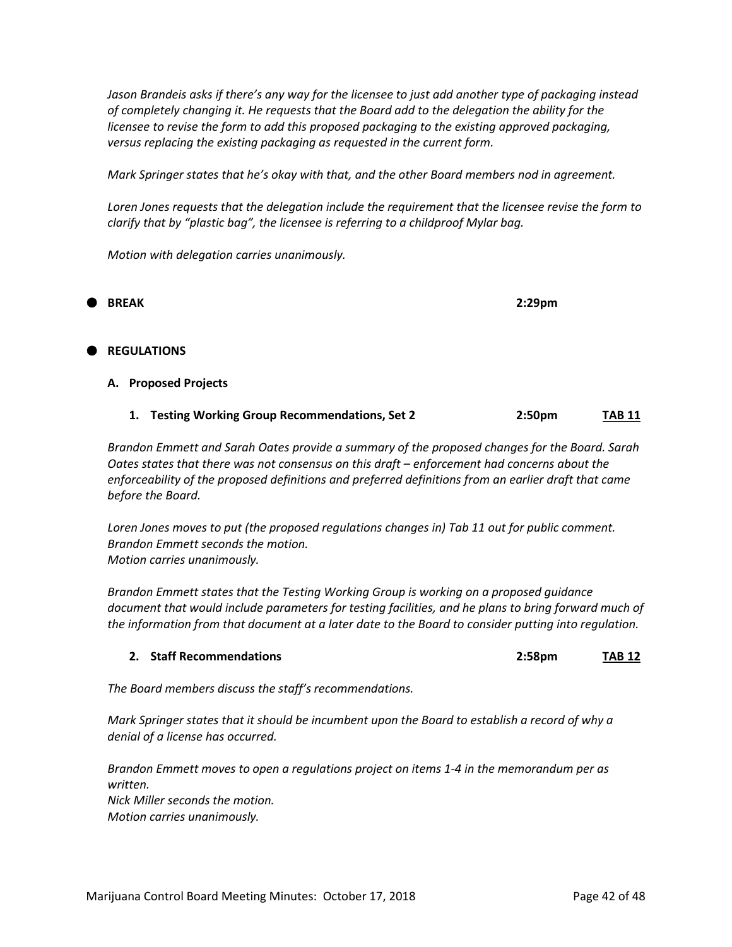*Jason Brandeis asks if there's any way for the licensee to just add another type of packaging instead of completely changing it. He requests that the Board add to the delegation the ability for the licensee to revise the form to add this proposed packaging to the existing approved packaging, versus replacing the existing packaging as requested in the current form.*

*Mark Springer states that he's okay with that, and the other Board members nod in agreement.*

*Loren Jones requests that the delegation include the requirement that the licensee revise the form to clarify that by "plastic bag", the licensee is referring to a childproof Mylar bag.*

*Motion with delegation carries unanimously.* 

**BREAK 2:29pm**

#### **REGULATIONS**

#### **A. Proposed Projects**

| 1. Testing Working Group Recommendations, Set 2 | 2:50 <sub>pm</sub> | <b>TAB 11</b> |
|-------------------------------------------------|--------------------|---------------|
|                                                 |                    |               |

*Brandon Emmett and Sarah Oates provide a summary of the proposed changes for the Board. Sarah Oates states that there was not consensus on this draft – enforcement had concerns about the enforceability of the proposed definitions and preferred definitions from an earlier draft that came before the Board.*

*Loren Jones moves to put (the proposed regulations changes in) Tab 11 out for public comment. Brandon Emmett seconds the motion. Motion carries unanimously.*

*Brandon Emmett states that the Testing Working Group is working on a proposed guidance document that would include parameters for testing facilities, and he plans to bring forward much of the information from that document at a later date to the Board to consider putting into regulation.*

| 2. Staff Recommendations | 2:58pm | <b>TAB 12</b> |
|--------------------------|--------|---------------|
|                          |        |               |

*The Board members discuss the staff's recommendations.*

*Mark Springer states that it should be incumbent upon the Board to establish a record of why a denial of a license has occurred.* 

*Brandon Emmett moves to open a regulations project on items 1-4 in the memorandum per as written. Nick Miller seconds the motion. Motion carries unanimously.*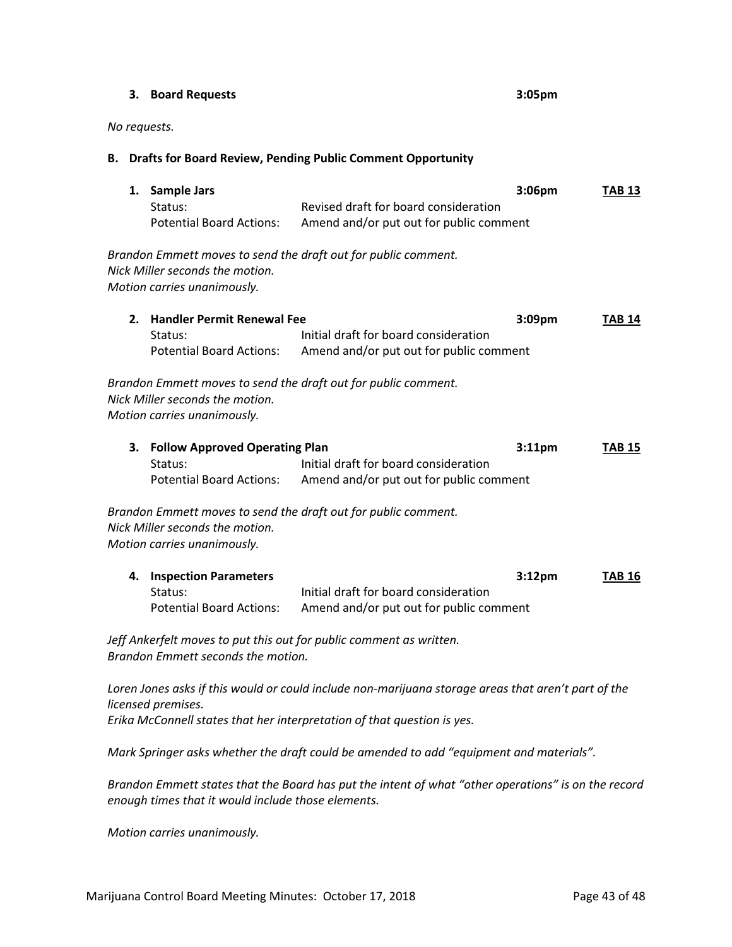#### **3. Board Requests 3:05pm**

#### *No requests.*

#### **B. Drafts for Board Review, Pending Public Comment Opportunity**

|    | 1. Sample Jars<br>Status:<br><b>Potential Board Actions:</b>                                                     | Revised draft for board consideration<br>Amend and/or put out for public comment                                                                        | 3:06pm             | <b>TAB 13</b> |
|----|------------------------------------------------------------------------------------------------------------------|---------------------------------------------------------------------------------------------------------------------------------------------------------|--------------------|---------------|
|    | Nick Miller seconds the motion.<br>Motion carries unanimously.                                                   | Brandon Emmett moves to send the draft out for public comment.                                                                                          |                    |               |
| 2. | <b>Handler Permit Renewal Fee</b><br>Status:<br><b>Potential Board Actions:</b>                                  | Initial draft for board consideration<br>Amend and/or put out for public comment                                                                        | 3:09pm             | <b>TAB 14</b> |
|    | Nick Miller seconds the motion.<br>Motion carries unanimously.                                                   | Brandon Emmett moves to send the draft out for public comment.                                                                                          |                    |               |
| 3. | <b>Follow Approved Operating Plan</b><br>Status:<br><b>Potential Board Actions:</b>                              | Initial draft for board consideration<br>Amend and/or put out for public comment                                                                        | $3:11$ pm          | <b>TAB 15</b> |
|    | Nick Miller seconds the motion.<br>Motion carries unanimously.                                                   | Brandon Emmett moves to send the draft out for public comment.                                                                                          |                    |               |
| 4. | <b>Inspection Parameters</b><br>Status:<br><b>Potential Board Actions:</b><br>Brandon Emmett seconds the motion. | Initial draft for board consideration<br>Amend and/or put out for public comment<br>Jeff Ankerfelt moves to put this out for public comment as written. | 3:12 <sub>pm</sub> | <b>TAB 16</b> |

*Loren Jones asks if this would or could include non-marijuana storage areas that aren't part of the licensed premises. Erika McConnell states that her interpretation of that question is yes.*

*Mark Springer asks whether the draft could be amended to add "equipment and materials".*

*Brandon Emmett states that the Board has put the intent of what "other operations" is on the record enough times that it would include those elements.*

*Motion carries unanimously.*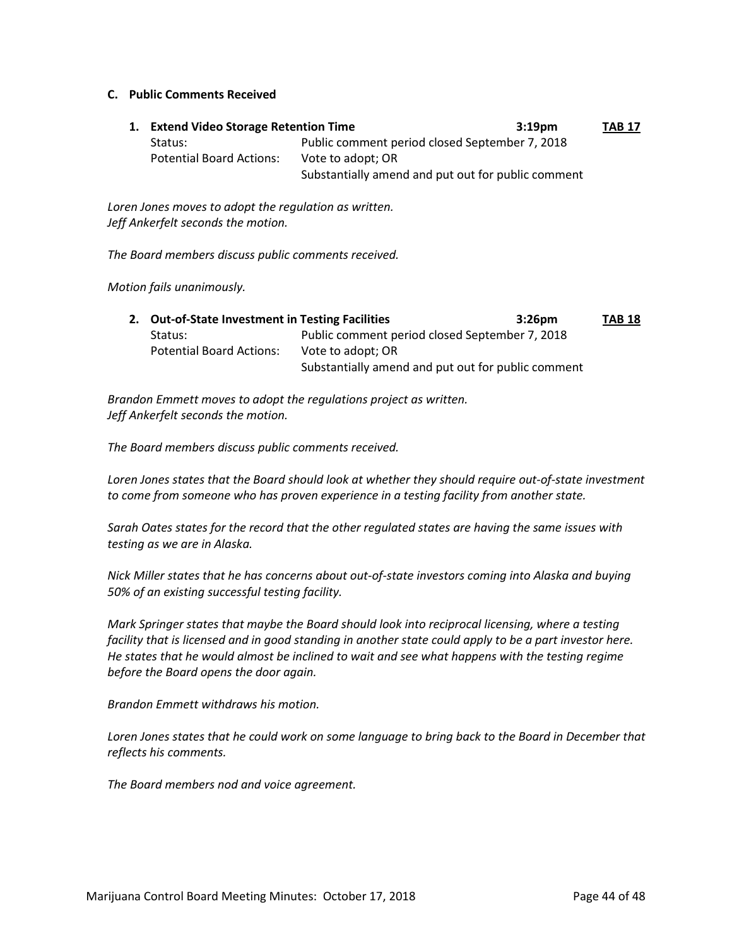#### **C. Public Comments Received**

**1. Extend Video Storage Retention Time 3:19pm TAB 17** Status: Public comment period closed September 7, 2018 Potential Board Actions: Vote to adopt; OR Substantially amend and put out for public comment

*Loren Jones moves to adopt the regulation as written. Jeff Ankerfelt seconds the motion.*

*The Board members discuss public comments received.*

*Motion fails unanimously.*

| 2. Out-of-State Investment in Testing Facilities |                                                    | $3:26$ pm | <b>TAB 18</b> |
|--------------------------------------------------|----------------------------------------------------|-----------|---------------|
| Status:                                          | Public comment period closed September 7, 2018     |           |               |
| <b>Potential Board Actions:</b>                  | Vote to adopt; OR                                  |           |               |
|                                                  | Substantially amend and put out for public comment |           |               |

*Brandon Emmett moves to adopt the regulations project as written. Jeff Ankerfelt seconds the motion.*

*The Board members discuss public comments received.*

*Loren Jones states that the Board should look at whether they should require out-of-state investment to come from someone who has proven experience in a testing facility from another state.*

*Sarah Oates states for the record that the other regulated states are having the same issues with testing as we are in Alaska.*

*Nick Miller states that he has concerns about out-of-state investors coming into Alaska and buying 50% of an existing successful testing facility.*

*Mark Springer states that maybe the Board should look into reciprocal licensing, where a testing facility that is licensed and in good standing in another state could apply to be a part investor here. He states that he would almost be inclined to wait and see what happens with the testing regime before the Board opens the door again.*

*Brandon Emmett withdraws his motion.*

*Loren Jones states that he could work on some language to bring back to the Board in December that reflects his comments.*

*The Board members nod and voice agreement.*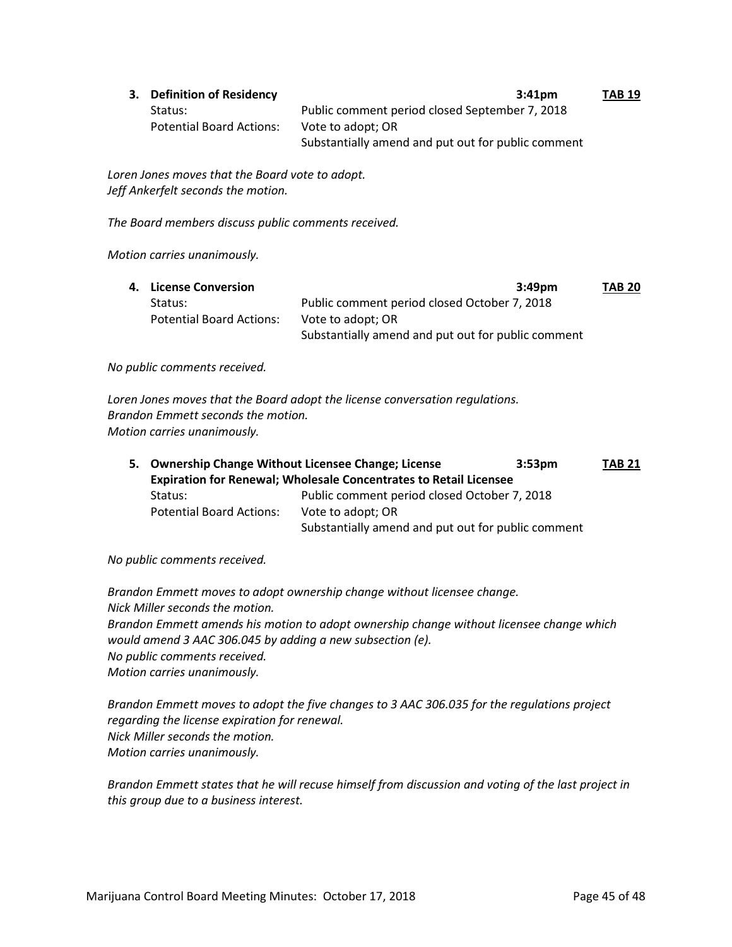| 3. Definition of Residency      | $3:41$ pm                                          | <b>TAB 19</b> |
|---------------------------------|----------------------------------------------------|---------------|
| Status:                         | Public comment period closed September 7, 2018     |               |
| <b>Potential Board Actions:</b> | Vote to adopt; OR                                  |               |
|                                 | Substantially amend and put out for public comment |               |

*Loren Jones moves that the Board vote to adopt. Jeff Ankerfelt seconds the motion.*

*The Board members discuss public comments received.*

#### *Motion carries unanimously.*

| 4. License Conversion           | 3:49pm                                             | <b>TAB 20</b> |
|---------------------------------|----------------------------------------------------|---------------|
| Status:                         | Public comment period closed October 7, 2018       |               |
| <b>Potential Board Actions:</b> | Vote to adopt; OR                                  |               |
|                                 | Substantially amend and put out for public comment |               |

*No public comments received.*

*Loren Jones moves that the Board adopt the license conversation regulations. Brandon Emmett seconds the motion. Motion carries unanimously.*

|                                                                          | 5. Ownership Change Without Licensee Change; License | 3:53 <sub>pm</sub> | <b>TAB 21</b> |
|--------------------------------------------------------------------------|------------------------------------------------------|--------------------|---------------|
| <b>Expiration for Renewal; Wholesale Concentrates to Retail Licensee</b> |                                                      |                    |               |
| Status:                                                                  | Public comment period closed October 7, 2018         |                    |               |
| <b>Potential Board Actions:</b>                                          | Vote to adopt; OR                                    |                    |               |
|                                                                          | Substantially amend and put out for public comment   |                    |               |

*No public comments received.*

*Brandon Emmett moves to adopt ownership change without licensee change. Nick Miller seconds the motion. Brandon Emmett amends his motion to adopt ownership change without licensee change which would amend 3 AAC 306.045 by adding a new subsection (e). No public comments received. Motion carries unanimously.*

*Brandon Emmett moves to adopt the five changes to 3 AAC 306.035 for the regulations project regarding the license expiration for renewal. Nick Miller seconds the motion. Motion carries unanimously.*

*Brandon Emmett states that he will recuse himself from discussion and voting of the last project in this group due to a business interest.*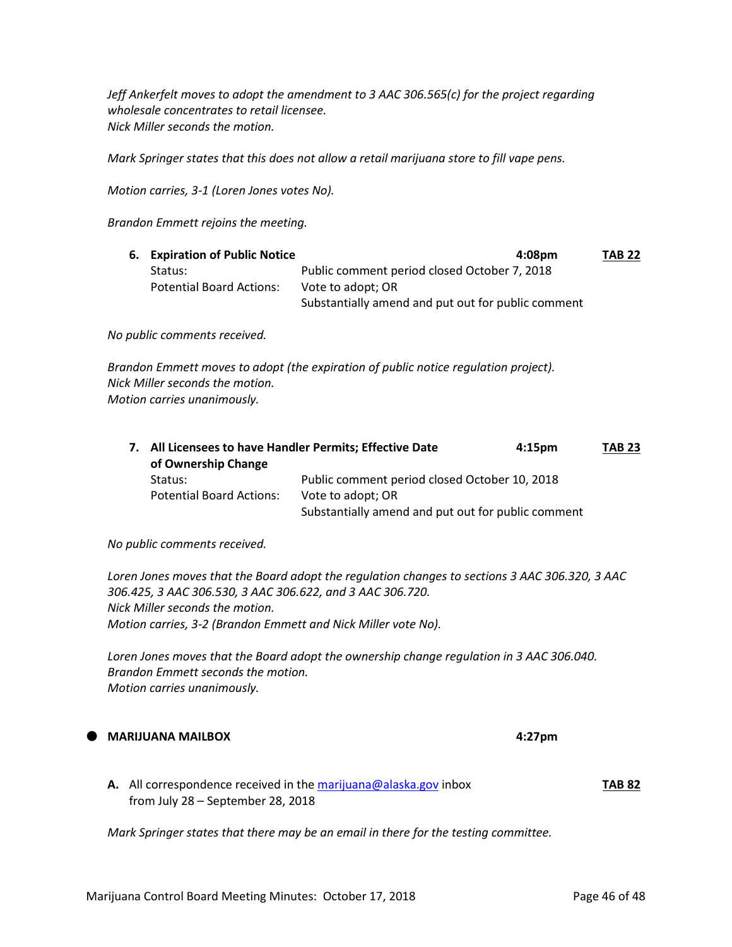*Jeff Ankerfelt moves to adopt the amendment to 3 AAC 306.565(c) for the project regarding wholesale concentrates to retail licensee. Nick Miller seconds the motion.*

*Mark Springer states that this does not allow a retail marijuana store to fill vape pens.*

*Motion carries, 3-1 (Loren Jones votes No).*

*Brandon Emmett rejoins the meeting.*

| 6. Expiration of Public Notice  | 4:08pm                                             | <b>TAB 22</b> |
|---------------------------------|----------------------------------------------------|---------------|
| Status:                         | Public comment period closed October 7, 2018       |               |
| <b>Potential Board Actions:</b> | Vote to adopt; OR                                  |               |
|                                 | Substantially amend and put out for public comment |               |

*No public comments received.*

*Brandon Emmett moves to adopt (the expiration of public notice regulation project). Nick Miller seconds the motion. Motion carries unanimously.*

|  | 7. All Licensees to have Handler Permits; Effective Date<br>of Ownership Change |                                                    | $4:15 \text{pm}$ | <b>TAB 23</b> |
|--|---------------------------------------------------------------------------------|----------------------------------------------------|------------------|---------------|
|  | Status:                                                                         | Public comment period closed October 10, 2018      |                  |               |
|  | <b>Potential Board Actions:</b>                                                 | Vote to adopt; OR                                  |                  |               |
|  |                                                                                 | Substantially amend and put out for public comment |                  |               |

*No public comments received.*

*Loren Jones moves that the Board adopt the regulation changes to sections 3 AAC 306.320, 3 AAC 306.425, 3 AAC 306.530, 3 AAC 306.622, and 3 AAC 306.720. Nick Miller seconds the motion. Motion carries, 3-2 (Brandon Emmett and Nick Miller vote No).*

*Loren Jones moves that the Board adopt the ownership change regulation in 3 AAC 306.040. Brandon Emmett seconds the motion. Motion carries unanimously.*

# **MARIJUANA MAILBOX 4:27pm**

**A.** All correspondence received in th[e marijuana@alaska.gov](mailto:marijuana@alaska.gov) inbox **TAB 82** from July 28 – September 28, 2018

*Mark Springer states that there may be an email in there for the testing committee.*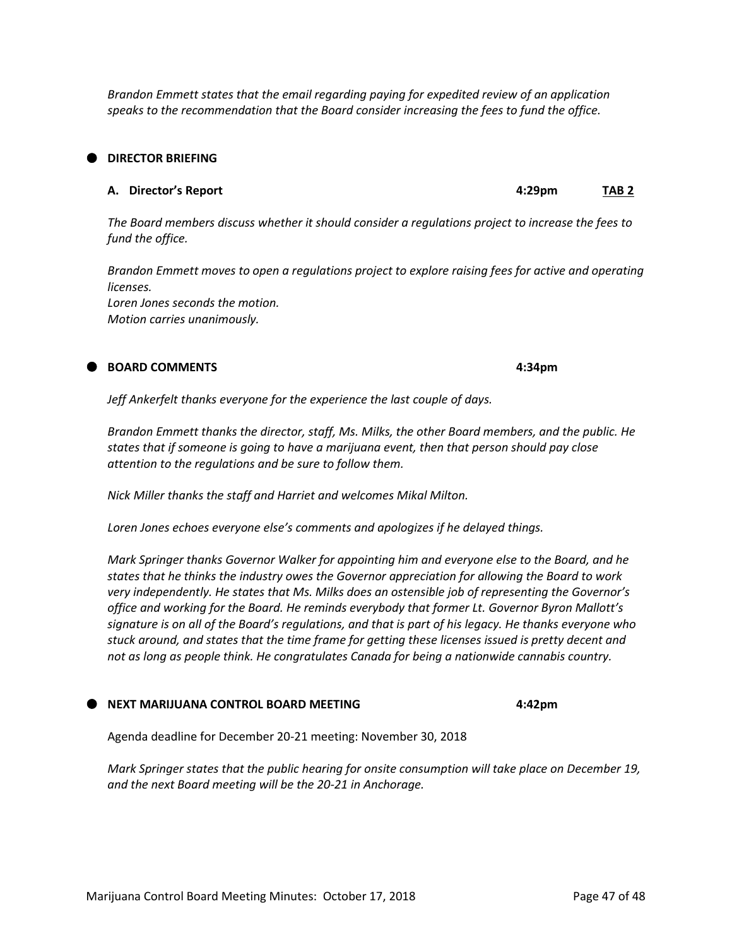Marijuana Control Board Meeting Minutes: October 17, 2018 **Page 47 of 48** Page 47 of 48

*Brandon Emmett states that the email regarding paying for expedited review of an application speaks to the recommendation that the Board consider increasing the fees to fund the office.*

#### **DIRECTOR BRIEFING**

#### **A. Director's Report 4:29pm TAB 2**

*The Board members discuss whether it should consider a regulations project to increase the fees to fund the office.*

*Brandon Emmett moves to open a regulations project to explore raising fees for active and operating licenses. Loren Jones seconds the motion. Motion carries unanimously.*

#### **BOARD COMMENTS 4:34pm**

*Jeff Ankerfelt thanks everyone for the experience the last couple of days.*

*Brandon Emmett thanks the director, staff, Ms. Milks, the other Board members, and the public. He states that if someone is going to have a marijuana event, then that person should pay close attention to the regulations and be sure to follow them.*

*Nick Miller thanks the staff and Harriet and welcomes Mikal Milton.*

*Loren Jones echoes everyone else's comments and apologizes if he delayed things.*

*Mark Springer thanks Governor Walker for appointing him and everyone else to the Board, and he states that he thinks the industry owes the Governor appreciation for allowing the Board to work very independently. He states that Ms. Milks does an ostensible job of representing the Governor's office and working for the Board. He reminds everybody that former Lt. Governor Byron Mallott's signature is on all of the Board's regulations, and that is part of his legacy. He thanks everyone who stuck around, and states that the time frame for getting these licenses issued is pretty decent and not as long as people think. He congratulates Canada for being a nationwide cannabis country.*

#### **NEXT MARIJUANA CONTROL BOARD MEETING 4:42pm**

Agenda deadline for December 20-21 meeting: November 30, 2018

*Mark Springer states that the public hearing for onsite consumption will take place on December 19, and the next Board meeting will be the 20-21 in Anchorage.*